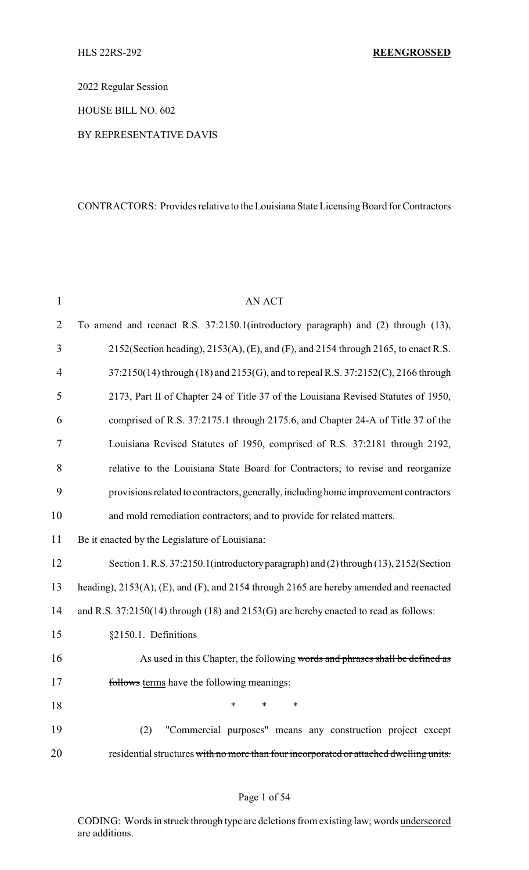2022 Regular Session

HOUSE BILL NO. 602

#### BY REPRESENTATIVE DAVIS

## CONTRACTORS: Provides relative to the Louisiana State Licensing Board for Contractors

| $\mathbf{1}$   | <b>AN ACT</b>                                                                           |
|----------------|-----------------------------------------------------------------------------------------|
| $\overline{2}$ | To amend and reenact R.S. 37:2150.1(introductory paragraph) and (2) through (13),       |
| 3              | 2152(Section heading), 2153(A), (E), and (F), and 2154 through 2165, to enact R.S.      |
| 4              | 37:2150(14) through (18) and 2153(G), and to repeal R.S. 37:2152(C), 2166 through       |
| 5              | 2173, Part II of Chapter 24 of Title 37 of the Louisiana Revised Statutes of 1950,      |
| 6              | comprised of R.S. 37:2175.1 through 2175.6, and Chapter 24-A of Title 37 of the         |
| 7              | Louisiana Revised Statutes of 1950, comprised of R.S. 37:2181 through 2192,             |
| 8              | relative to the Louisiana State Board for Contractors; to revise and reorganize         |
| 9              | provisions related to contractors, generally, including home improvement contractors    |
| 10             | and mold remediation contractors; and to provide for related matters.                   |
| 11             | Be it enacted by the Legislature of Louisiana:                                          |
| 12             | Section 1. R.S. 37:2150.1 (introductory paragraph) and (2) through (13), 2152 (Section  |
| 13             | heading), 2153(A), (E), and (F), and 2154 through 2165 are hereby amended and reenacted |
| 14             | and R.S. 37:2150(14) through (18) and 2153(G) are hereby enacted to read as follows:    |
| 15             | §2150.1. Definitions                                                                    |
| 16             | As used in this Chapter, the following words and phrases shall be defined as            |
| 17             | follows terms have the following meanings:                                              |
| 18             | ∗<br>*                                                                                  |
| 19             | "Commercial purposes" means any construction project except<br>(2)                      |
| 20             | residential structures with no more than four incorporated or attached dwelling units.  |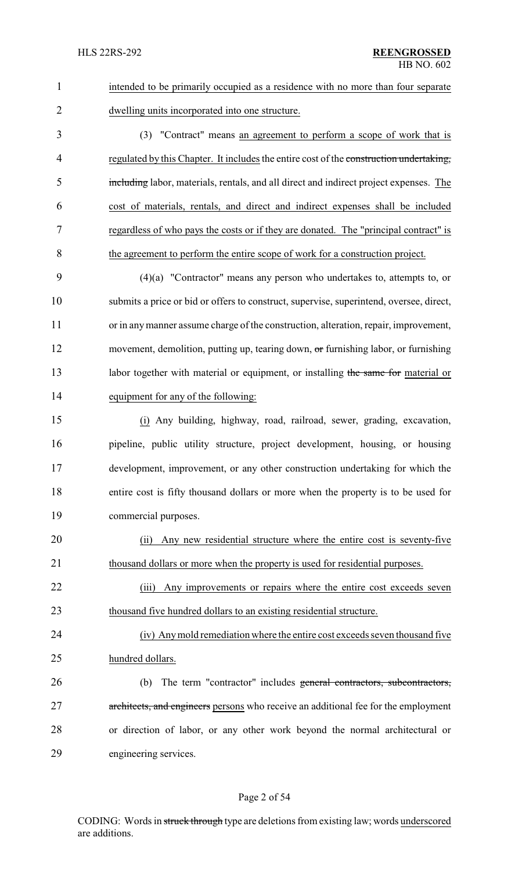| $\mathbf{1}$   | intended to be primarily occupied as a residence with no more than four separate        |
|----------------|-----------------------------------------------------------------------------------------|
| $\overline{2}$ | dwelling units incorporated into one structure.                                         |
| 3              | (3) "Contract" means an agreement to perform a scope of work that is                    |
| 4              | regulated by this Chapter. It includes the entire cost of the construction undertaking, |
| 5              | including labor, materials, rentals, and all direct and indirect project expenses. The  |
| 6              | cost of materials, rentals, and direct and indirect expenses shall be included          |
| 7              | regardless of who pays the costs or if they are donated. The "principal contract" is    |
| 8              | the agreement to perform the entire scope of work for a construction project.           |
| 9              | $(4)(a)$ "Contractor" means any person who undertakes to, attempts to, or               |
| 10             | submits a price or bid or offers to construct, supervise, superintend, oversee, direct, |
| 11             | or in any manner assume charge of the construction, alteration, repair, improvement,    |
| 12             | movement, demolition, putting up, tearing down, or furnishing labor, or furnishing      |
| 13             | labor together with material or equipment, or installing the same for material or       |
| 14             | equipment for any of the following:                                                     |
| 15             | (i) Any building, highway, road, railroad, sewer, grading, excavation,                  |
| 16             | pipeline, public utility structure, project development, housing, or housing            |
| 17             | development, improvement, or any other construction undertaking for which the           |
| 18             | entire cost is fifty thousand dollars or more when the property is to be used for       |
| 19             | commercial purposes.                                                                    |
| 20             | Any new residential structure where the entire cost is seventy-five<br>(i)              |
| 21             | thousand dollars or more when the property is used for residential purposes.            |
| 22             | Any improvements or repairs where the entire cost exceeds seven<br>(iii)                |
| 23             | thousand five hundred dollars to an existing residential structure.                     |
| 24             | (iv) Any mold remediation where the entire cost exceeds seven thousand five             |
| 25             | hundred dollars.                                                                        |
| 26             | The term "contractor" includes general contractors, subcontractors,<br>(b)              |
| 27             | architects, and engineers persons who receive an additional fee for the employment      |
| 28             | or direction of labor, or any other work beyond the normal architectural or             |
| 29             | engineering services.                                                                   |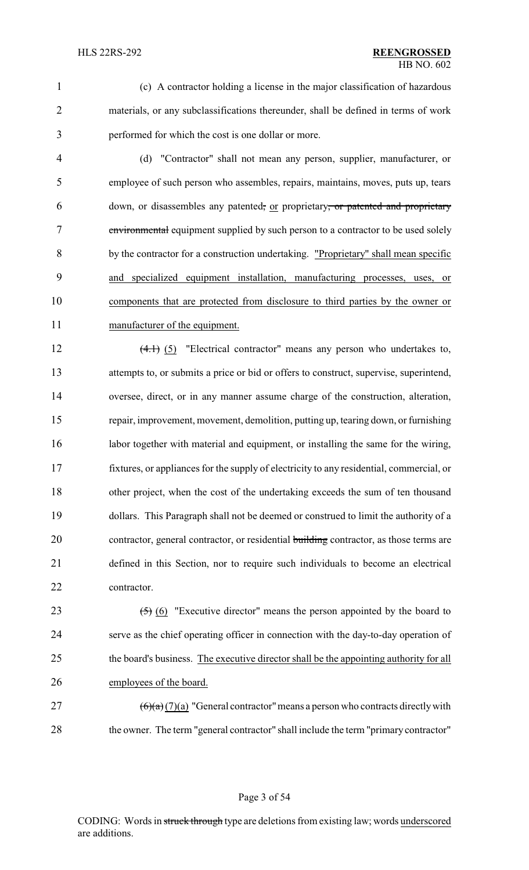(c) A contractor holding a license in the major classification of hazardous materials, or any subclassifications thereunder, shall be defined in terms of work performed for which the cost is one dollar or more.

 (d) "Contractor" shall not mean any person, supplier, manufacturer, or employee of such person who assembles, repairs, maintains, moves, puts up, tears 6 down, or disassembles any patented, or proprietary, or patented and proprietary environmental equipment supplied by such person to a contractor to be used solely by the contractor for a construction undertaking. "Proprietary" shall mean specific and specialized equipment installation, manufacturing processes, uses, or components that are protected from disclosure to third parties by the owner or manufacturer of the equipment.

12 (4.1) (5) "Electrical contractor" means any person who undertakes to, attempts to, or submits a price or bid or offers to construct, supervise, superintend, oversee, direct, or in any manner assume charge of the construction, alteration, repair, improvement, movement, demolition, putting up, tearing down, or furnishing 16 labor together with material and equipment, or installing the same for the wiring, fixtures, or appliances for the supply of electricity to any residential, commercial, or other project, when the cost of the undertaking exceeds the sum of ten thousand dollars. This Paragraph shall not be deemed or construed to limit the authority of a 20 contractor, general contractor, or residential building contractor, as those terms are defined in this Section, nor to require such individuals to become an electrical contractor.

 $(5)$  (6) "Executive director" means the person appointed by the board to serve as the chief operating officer in connection with the day-to-day operation of 25 the board's business. The executive director shall be the appointing authority for all employees of the board.

27  $(6)(a)(7)(a)$  "General contractor" means a person who contracts directly with 28 the owner. The term "general contractor" shall include the term "primary contractor"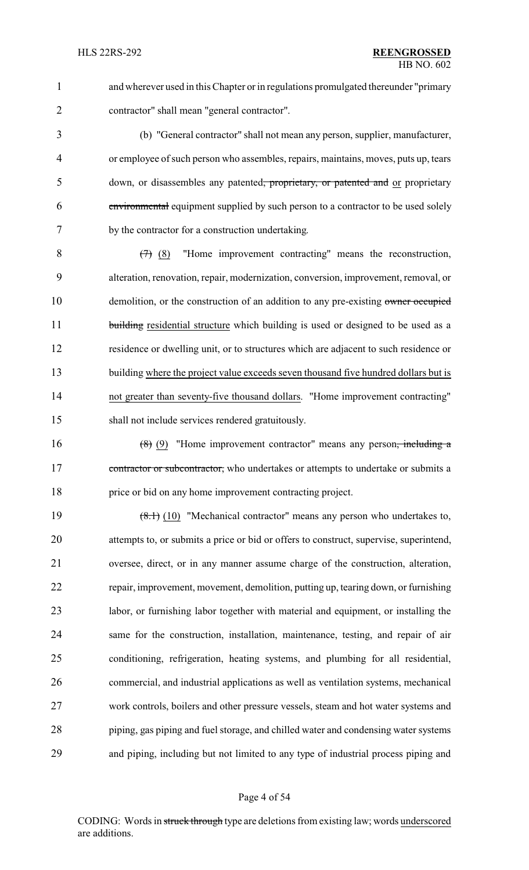and wherever used in this Chapter or in regulations promulgated thereunder "primary contractor" shall mean "general contractor".

 (b) "General contractor" shall not mean any person, supplier, manufacturer, or employee of such person who assembles, repairs, maintains, moves, puts up, tears 5 down, or disassembles any patented, proprietary, or patented and or proprietary environmental equipment supplied by such person to a contractor to be used solely by the contractor for a construction undertaking.

 $8 \left(7\right)$  (8) "Home improvement contracting" means the reconstruction, alteration, renovation, repair, modernization, conversion, improvement, removal, or 10 demolition, or the construction of an addition to any pre-existing owner occupied 11 building residential structure which building is used or designed to be used as a residence or dwelling unit, or to structures which are adjacent to such residence or 13 building where the project value exceeds seven thousand five hundred dollars but is not greater than seventy-five thousand dollars. "Home improvement contracting" shall not include services rendered gratuitously.

16  $(8)$  (9) "Home improvement contractor" means any person<del>, including a</del> 17 contractor or subcontractor, who undertakes or attempts to undertake or submits a price or bid on any home improvement contracting project.

19 (8.1) (10) "Mechanical contractor" means any person who undertakes to, attempts to, or submits a price or bid or offers to construct, supervise, superintend, oversee, direct, or in any manner assume charge of the construction, alteration, repair, improvement, movement, demolition, putting up, tearing down, or furnishing labor, or furnishing labor together with material and equipment, or installing the same for the construction, installation, maintenance, testing, and repair of air conditioning, refrigeration, heating systems, and plumbing for all residential, commercial, and industrial applications as well as ventilation systems, mechanical work controls, boilers and other pressure vessels, steam and hot water systems and piping, gas piping and fuel storage, and chilled water and condensing water systems and piping, including but not limited to any type of industrial process piping and

#### Page 4 of 54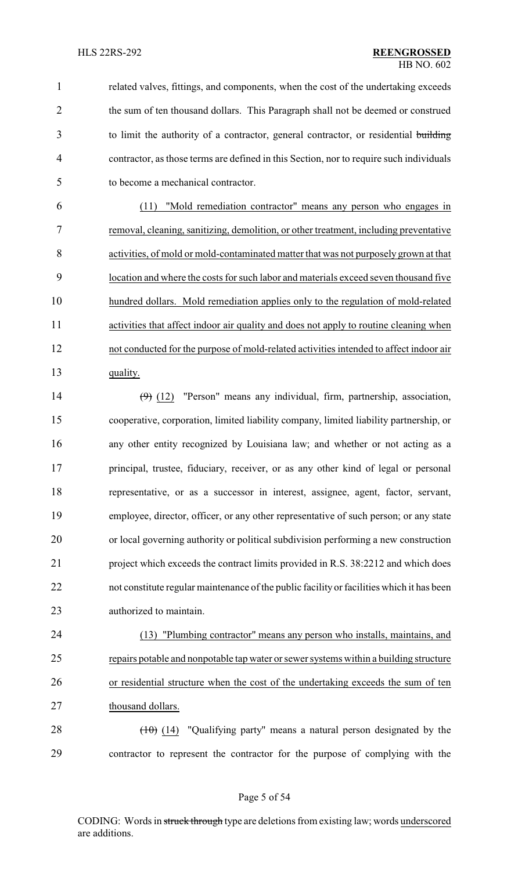related valves, fittings, and components, when the cost of the undertaking exceeds 2 the sum of ten thousand dollars. This Paragraph shall not be deemed or construed to limit the authority of a contractor, general contractor, or residential building contractor, as those terms are defined in this Section, nor to require such individuals to become a mechanical contractor.

 (11) "Mold remediation contractor" means any person who engages in removal, cleaning, sanitizing, demolition, or other treatment, including preventative activities, of mold or mold-contaminated matter that was not purposely grown at that location and where the costs for such labor and materials exceed seven thousand five hundred dollars. Mold remediation applies only to the regulation of mold-related activities that affect indoor air quality and does not apply to routine cleaning when not conducted for the purpose of mold-related activities intended to affect indoor air 13 quality.

 (9) (12) "Person" means any individual, firm, partnership, association, cooperative, corporation, limited liability company, limited liability partnership, or any other entity recognized by Louisiana law; and whether or not acting as a principal, trustee, fiduciary, receiver, or as any other kind of legal or personal representative, or as a successor in interest, assignee, agent, factor, servant, employee, director, officer, or any other representative of such person; or any state or local governing authority or political subdivision performing a new construction project which exceeds the contract limits provided in R.S. 38:2212 and which does not constitute regular maintenance of the public facility or facilities which it has been authorized to maintain.

 (13) "Plumbing contractor" means any person who installs, maintains, and repairs potable and nonpotable tap water or sewer systems within a building structure or residential structure when the cost of the undertaking exceeds the sum of ten 27 thousand dollars.

28  $(10)(14)$  "Qualifying party" means a natural person designated by the contractor to represent the contractor for the purpose of complying with the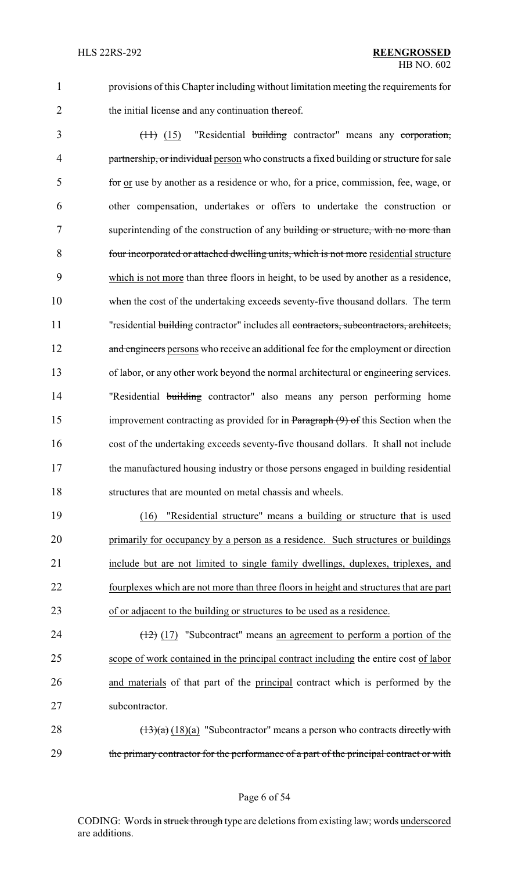1 provisions of this Chapter including without limitation meeting the requirements for 2 the initial license and any continuation thereof.

 (11) (15) "Residential building contractor" means any corporation, 4 partnership, or individual person who constructs a fixed building or structure for sale for or use by another as a residence or who, for a price, commission, fee, wage, or other compensation, undertakes or offers to undertake the construction or 7 superintending of the construction of any building or structure, with no more than four incorporated or attached dwelling units, which is not more residential structure which is not more than three floors in height, to be used by another as a residence, when the cost of the undertaking exceeds seventy-five thousand dollars. The term 11 "residential building contractor" includes all contractors, subcontractors, architects, 12 and engineers persons who receive an additional fee for the employment or direction of labor, or any other work beyond the normal architectural or engineering services. 14 "Residential building contractor" also means any person performing home 15 improvement contracting as provided for in Paragraph (9) of this Section when the cost of the undertaking exceeds seventy-five thousand dollars. It shall not include the manufactured housing industry or those persons engaged in building residential structures that are mounted on metal chassis and wheels.

 (16) "Residential structure" means a building or structure that is used primarily for occupancy by a person as a residence. Such structures or buildings include but are not limited to single family dwellings, duplexes, triplexes, and fourplexes which are not more than three floors in height and structures that are part of or adjacent to the building or structures to be used as a residence.

 $\left(\frac{12}{2}\right)$  (17) "Subcontract" means an agreement to perform a portion of the scope of work contained in the principal contract including the entire cost of labor and materials of that part of the principal contract which is performed by the subcontractor.

28  $(13)(a)$  (18)(a) "Subcontractor" means a person who contracts directly with 29 the primary contractor for the performance of a part of the principal contract or with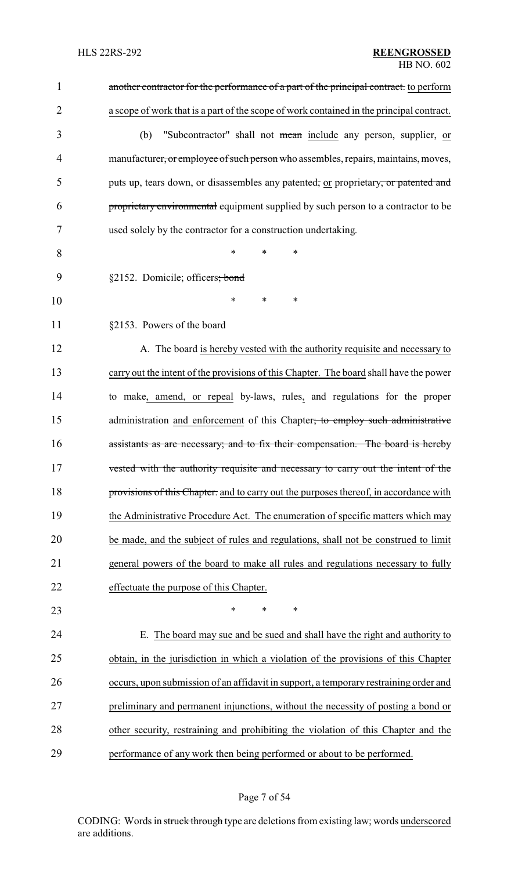| $\mathbf{1}$   | another contractor for the performance of a part of the principal contract. to perform   |
|----------------|------------------------------------------------------------------------------------------|
| $\overline{2}$ | a scope of work that is a part of the scope of work contained in the principal contract. |
| 3              | "Subcontractor" shall not mean include any person, supplier, or<br>(b)                   |
| 4              | manufacturer, or employee of such person who assembles, repairs, maintains, moves,       |
| 5              | puts up, tears down, or disassembles any patented, or proprietary, or patented and       |
| 6              | proprietary environmental equipment supplied by such person to a contractor to be        |
| 7              | used solely by the contractor for a construction undertaking.                            |
| 8              | $\ast$<br>*<br>*                                                                         |
| 9              | §2152. Domicile; officers; bond                                                          |
| 10             | *<br>*<br>∗                                                                              |
| 11             | §2153. Powers of the board                                                               |
| 12             | A. The board is hereby vested with the authority requisite and necessary to              |
| 13             | carry out the intent of the provisions of this Chapter. The board shall have the power   |
| 14             | to make, amend, or repeal by-laws, rules, and regulations for the proper                 |
| 15             | administration and enforcement of this Chapter; to employ such administrative            |
| 16             | assistants as are necessary; and to fix their compensation. The board is hereby          |
| 17             | vested with the authority requisite and necessary to carry out the intent of the         |
| 18             | provisions of this Chapter, and to carry out the purposes thereof, in accordance with    |
| 19             | the Administrative Procedure Act. The enumeration of specific matters which may          |
| 20             | be made, and the subject of rules and regulations, shall not be construed to limit       |
| 21             | general powers of the board to make all rules and regulations necessary to fully         |
| 22             | effectuate the purpose of this Chapter.                                                  |
| 23             | $\ast$<br>$\ast$<br>$\ast$                                                               |
| 24             | E. The board may sue and be sued and shall have the right and authority to               |
| 25             | obtain, in the jurisdiction in which a violation of the provisions of this Chapter       |
| 26             | occurs, upon submission of an affidavit in support, a temporary restraining order and    |
| 27             | preliminary and permanent injunctions, without the necessity of posting a bond or        |
| 28             | other security, restraining and prohibiting the violation of this Chapter and the        |
| 29             | performance of any work then being performed or about to be performed.                   |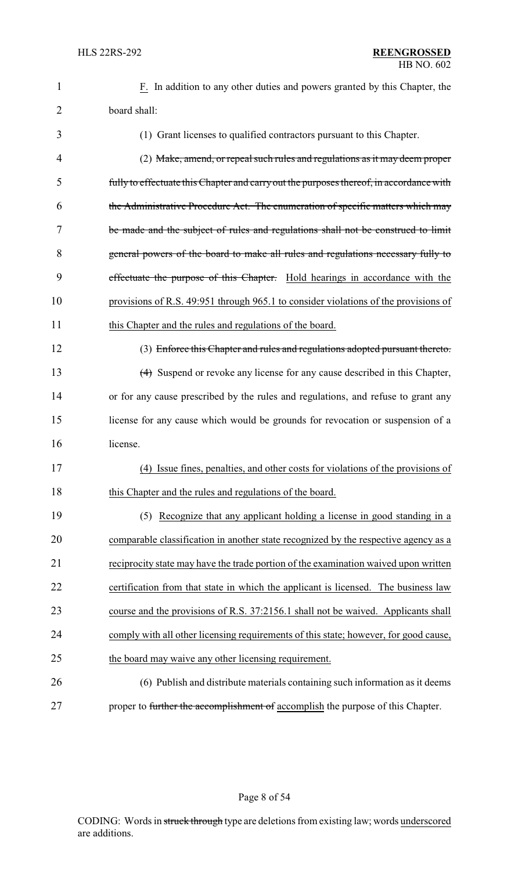| 1              | F. In addition to any other duties and powers granted by this Chapter, the              |
|----------------|-----------------------------------------------------------------------------------------|
| $\overline{2}$ | board shall:                                                                            |
| 3              | (1) Grant licenses to qualified contractors pursuant to this Chapter.                   |
| 4              | (2) Make, amend, or repeal such rules and regulations as it may deem proper             |
| 5              | fully to effectuate this Chapter and carry out the purposes thereof, in accordance with |
| 6              | the Administrative Procedure Act. The enumeration of specific matters which may         |
| 7              | be made and the subject of rules and regulations shall not be construed to limit        |
| 8              | general powers of the board to make all rules and regulations necessary fully to        |
| 9              | effectuate the purpose of this Chapter. Hold hearings in accordance with the            |
| 10             | provisions of R.S. 49:951 through 965.1 to consider violations of the provisions of     |
| 11             | this Chapter and the rules and regulations of the board.                                |
| 12             | (3) Enforce this Chapter and rules and regulations adopted pursuant thereto.            |
| 13             | (4) Suspend or revoke any license for any cause described in this Chapter,              |
| 14             | or for any cause prescribed by the rules and regulations, and refuse to grant any       |
| 15             | license for any cause which would be grounds for revocation or suspension of a          |
| 16             | license.                                                                                |
| 17             | (4) Issue fines, penalties, and other costs for violations of the provisions of         |
| 18             | this Chapter and the rules and regulations of the board.                                |
| 19             | (5) Recognize that any applicant holding a license in good standing in a                |
| 20             | comparable classification in another state recognized by the respective agency as a     |
| 21             | reciprocity state may have the trade portion of the examination waived upon written     |
| 22             | certification from that state in which the applicant is licensed. The business law      |
| 23             | course and the provisions of R.S. 37:2156.1 shall not be waived. Applicants shall       |
| 24             | comply with all other licensing requirements of this state; however, for good cause,    |
| 25             | the board may waive any other licensing requirement.                                    |
| 26             | (6) Publish and distribute materials containing such information as it deems            |
| 27             | proper to further the accomplishment of accomplish the purpose of this Chapter.         |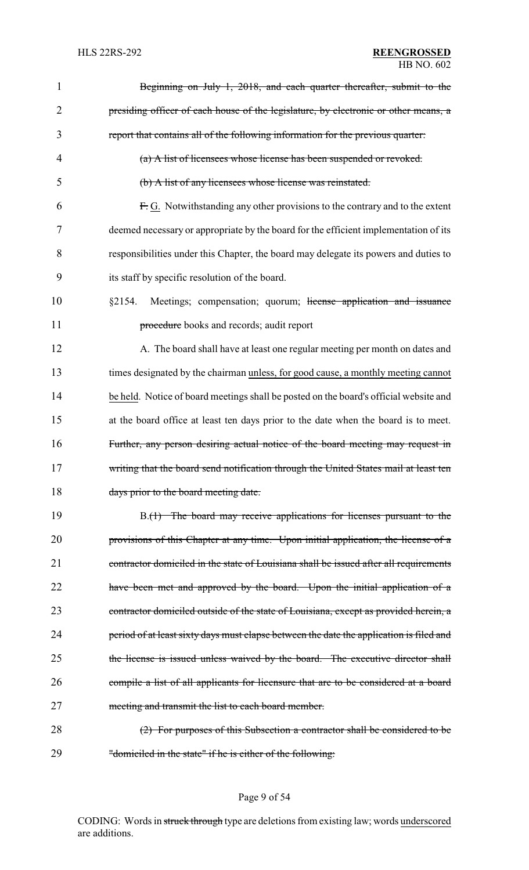| 1              | Beginning on July 1, 2018, and each quarter thereafter, submit to the                   |
|----------------|-----------------------------------------------------------------------------------------|
| $\overline{2}$ | presiding officer of each house of the legislature, by electronic or other means, a     |
| 3              | report that contains all of the following information for the previous quarter:         |
| $\overline{4}$ | (a) A list of licensees whose license has been suspended or revoked.                    |
| 5              | (b) A list of any licensees whose license was reinstated.                               |
| 6              | F.G. Notwithstanding any other provisions to the contrary and to the extent             |
| 7              | deemed necessary or appropriate by the board for the efficient implementation of its    |
| 8              | responsibilities under this Chapter, the board may delegate its powers and duties to    |
| 9              | its staff by specific resolution of the board.                                          |
| 10             | Meetings; compensation; quorum; license application and issuance<br>§2154.              |
| 11             | procedure books and records; audit report                                               |
| 12             | A. The board shall have at least one regular meeting per month on dates and             |
| 13             | times designated by the chairman unless, for good cause, a monthly meeting cannot       |
| 14             | be held. Notice of board meetings shall be posted on the board's official website and   |
| 15             | at the board office at least ten days prior to the date when the board is to meet.      |
| 16             | Further, any person desiring actual notice of the board meeting may request in          |
| 17             | writing that the board send notification through the United States mail at least ten    |
| 18             | days prior to the board meeting date.                                                   |
| 19             | B.(1) The board may receive applications for licenses pursuant to the                   |
| 20             | provisions of this Chapter at any time. Upon initial application, the license of a      |
| 21             | contractor domiciled in the state of Louisiana shall be issued after all requirements   |
| 22             | have been met and approved by the board. Upon the initial application of a              |
| 23             | contractor domiciled outside of the state of Louisiana, except as provided herein, a    |
| 24             | period of at least sixty days must elapse between the date the application is filed and |
| 25             | the license is issued unless waived by the board. The executive director shall          |
| 26             | compile a list of all applicants for licensure that are to be considered at a board     |
| 27             | meeting and transmit the list to each board member.                                     |
| 28             | (2) For purposes of this Subsection a contractor shall be considered to be              |
| 29             | "domiciled in the state" if he is either of the following:                              |

# Page 9 of 54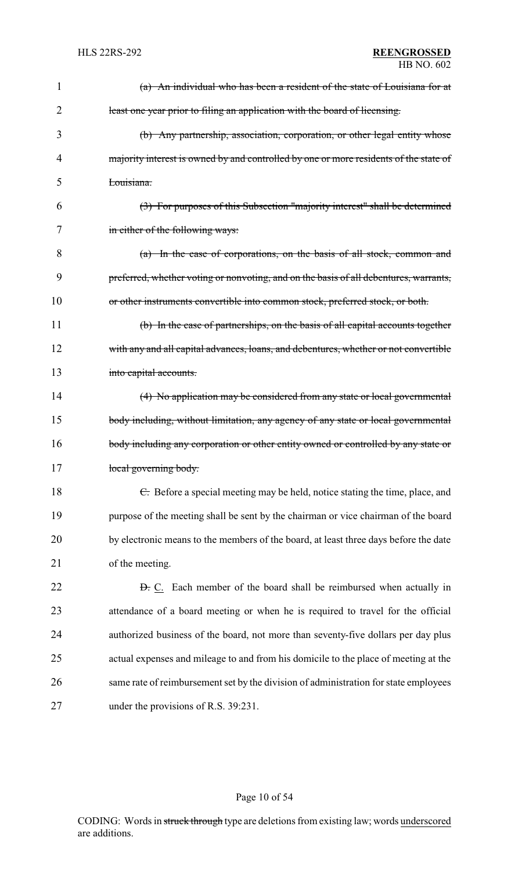| 1              | (a) An individual who has been a resident of the state of Louisiana for at            |
|----------------|---------------------------------------------------------------------------------------|
| $\overline{2}$ | least one year prior to filing an application with the board of licensing.            |
| 3              | (b) Any partnership, association, corporation, or other legal entity whose            |
| 4              | majority interest is owned by and controlled by one or more residents of the state of |
| 5              | Louisiana.                                                                            |
| 6              | (3) For purposes of this Subsection "majority interest" shall be determined           |
| 7              | in either of the following ways:                                                      |
| 8              | (a) In the case of corporations, on the basis of all stock, common and                |
| 9              | preferred, whether voting or nonvoting, and on the basis of all debentures, warrants, |
| 10             | or other instruments convertible into common stock, preferred stock, or both.         |
| 11             | (b) In the case of partnerships, on the basis of all capital accounts together        |
| 12             | with any and all capital advances, loans, and debentures, whether or not convertible  |
| 13             | into capital accounts.                                                                |
| 14             | (4) No application may be considered from any state or local governmental             |
| 15             | body including, without limitation, any agency of any state or local governmental     |
| 16             | body including any corporation or other entity owned or controlled by any state or    |
| 17             | local governing body.                                                                 |
| 18             | E. Before a special meeting may be held, notice stating the time, place, and          |
| 19             | purpose of the meeting shall be sent by the chairman or vice chairman of the board    |
| 20             | by electronic means to the members of the board, at least three days before the date  |
| 21             | of the meeting.                                                                       |
| 22             | <b>D.</b> C. Each member of the board shall be reimbursed when actually in            |
| 23             | attendance of a board meeting or when he is required to travel for the official       |
| 24             | authorized business of the board, not more than seventy-five dollars per day plus     |
| 25             | actual expenses and mileage to and from his domicile to the place of meeting at the   |
| 26             | same rate of reimbursement set by the division of administration for state employees  |
| 27             | under the provisions of R.S. 39:231.                                                  |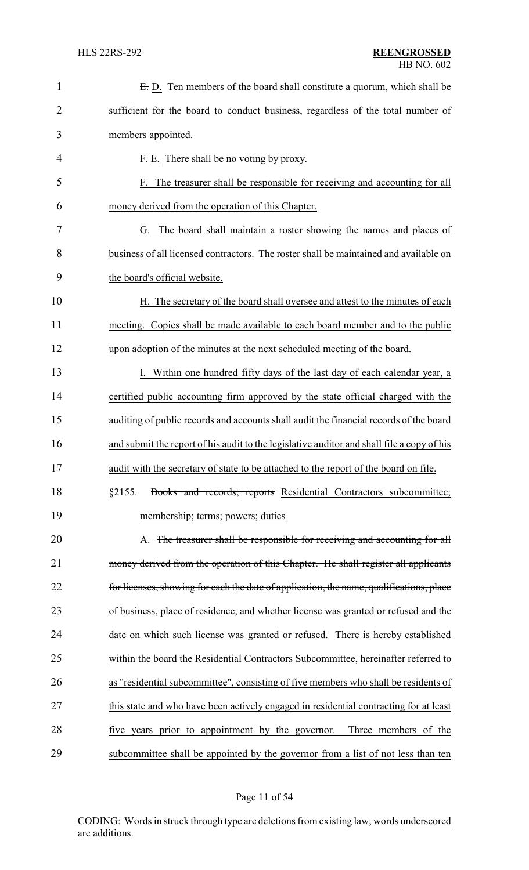| $\mathbf{1}$   | E.D. Ten members of the board shall constitute a quorum, which shall be                    |
|----------------|--------------------------------------------------------------------------------------------|
| $\overline{2}$ | sufficient for the board to conduct business, regardless of the total number of            |
| 3              | members appointed.                                                                         |
| 4              | F. E. There shall be no voting by proxy.                                                   |
| 5              | F. The treasurer shall be responsible for receiving and accounting for all                 |
| 6              | money derived from the operation of this Chapter.                                          |
| 7              | G. The board shall maintain a roster showing the names and places of                       |
| 8              | business of all licensed contractors. The roster shall be maintained and available on      |
| 9              | the board's official website.                                                              |
| 10             | H. The secretary of the board shall oversee and attest to the minutes of each              |
| 11             | meeting. Copies shall be made available to each board member and to the public             |
| 12             | upon adoption of the minutes at the next scheduled meeting of the board.                   |
| 13             | I. Within one hundred fifty days of the last day of each calendar year, a                  |
| 14             | certified public accounting firm approved by the state official charged with the           |
| 15             | auditing of public records and accounts shall audit the financial records of the board     |
| 16             | and submit the report of his audit to the legislative auditor and shall file a copy of his |
| 17             | audit with the secretary of state to be attached to the report of the board on file.       |
| 18             | Books and records; reports Residential Contractors subcommittee;<br>§2155.                 |
| 19             | membership; terms; powers; duties                                                          |
| 20             | A. The treasurer shall be responsible for receiving and accounting for all                 |
| 21             | money derived from the operation of this Chapter. He shall register all applicants         |
| 22             | for licenses, showing for each the date of application, the name, qualifications, place    |
| 23             | of business, place of residence, and whether license was granted or refused and the        |
| 24             | date on which such license was granted or refused. There is hereby established             |
| 25             | within the board the Residential Contractors Subcommittee, hereinafter referred to         |
| 26             | as "residential subcommittee", consisting of five members who shall be residents of        |
| 27             | this state and who have been actively engaged in residential contracting for at least      |
| 28             | five years prior to appointment by the governor.<br>Three members of the                   |
| 29             | subcommittee shall be appointed by the governor from a list of not less than ten           |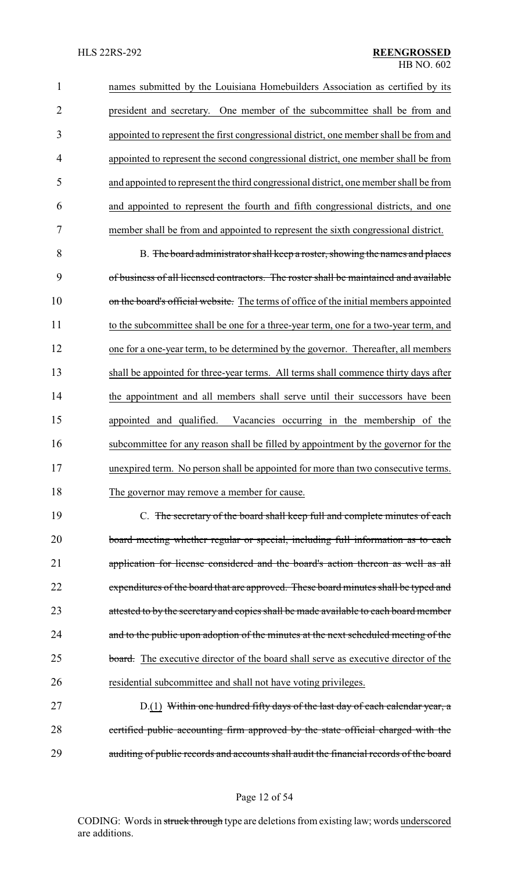names submitted by the Louisiana Homebuilders Association as certified by its president and secretary. One member of the subcommittee shall be from and appointed to represent the first congressional district, one member shall be from and appointed to represent the second congressional district, one member shall be from and appointed to represent the third congressional district, one member shall be from and appointed to represent the fourth and fifth congressional districts, and one member shall be from and appointed to represent the sixth congressional district.

 B. The board administrator shall keep a roster, showing the names and places of business of all licensed contractors. The roster shall be maintained and available 10 on the board's official website. The terms of office of the initial members appointed to the subcommittee shall be one for a three-year term, one for a two-year term, and one for a one-year term, to be determined by the governor. Thereafter, all members shall be appointed for three-year terms. All terms shall commence thirty days after the appointment and all members shall serve until their successors have been appointed and qualified. Vacancies occurring in the membership of the subcommittee for any reason shall be filled by appointment by the governor for the unexpired term. No person shall be appointed for more than two consecutive terms. 18 The governor may remove a member for cause.

 C. The secretary of the board shall keep full and complete minutes of each board meeting whether regular or special, including full information as to each application for license considered and the board's action thereon as well as all 22 expenditures of the board that are approved. These board minutes shall be typed and 23 attested to by the secretary and copies shall be made available to each board member 24 and to the public upon adoption of the minutes at the next scheduled meeting of the 25 board. The executive director of the board shall serve as executive director of the residential subcommittee and shall not have voting privileges.

27 D.(1) Within one hundred fifty days of the last day of each calendar year, a certified public accounting firm approved by the state official charged with the auditing of public records and accounts shall audit the financial records of the board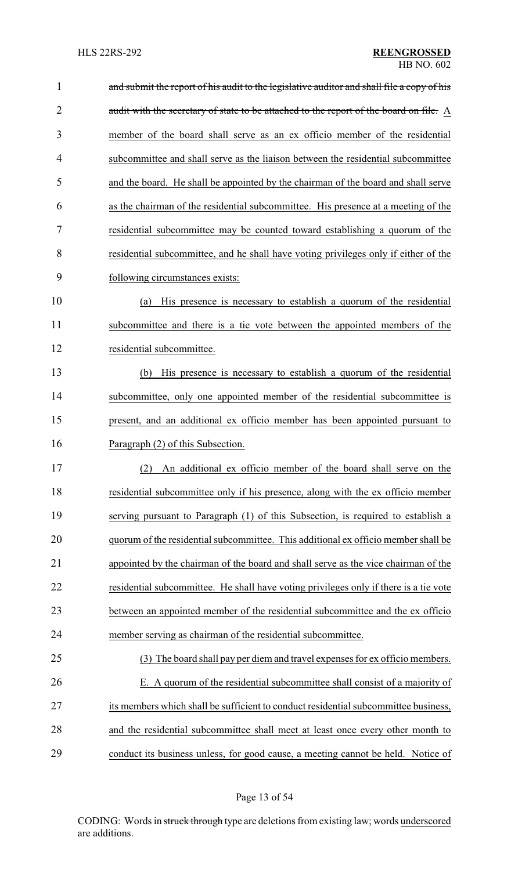| $\mathbf{1}$   | and submit the report of his audit to the legislative auditor and shall file a copy of his |
|----------------|--------------------------------------------------------------------------------------------|
| $\overline{2}$ | audit with the secretary of state to be attached to the report of the board on file. A     |
| 3              | member of the board shall serve as an ex officio member of the residential                 |
| 4              | subcommittee and shall serve as the liaison between the residential subcommittee           |
| 5              | and the board. He shall be appointed by the chairman of the board and shall serve          |
| 6              | as the chairman of the residential subcommittee. His presence at a meeting of the          |
| 7              | residential subcommittee may be counted toward establishing a quorum of the                |
| 8              | residential subcommittee, and he shall have voting privileges only if either of the        |
| 9              | following circumstances exists:                                                            |
| 10             | His presence is necessary to establish a quorum of the residential<br>(a)                  |
| 11             | subcommittee and there is a tie vote between the appointed members of the                  |
| 12             | residential subcommittee.                                                                  |
| 13             | (b) His presence is necessary to establish a quorum of the residential                     |
| 14             | subcommittee, only one appointed member of the residential subcommittee is                 |
| 15             | present, and an additional ex officio member has been appointed pursuant to                |
| 16             | Paragraph (2) of this Subsection.                                                          |
| 17             | An additional ex officio member of the board shall serve on the<br>(2)                     |
| 18             | residential subcommittee only if his presence, along with the ex officio member            |
| 19             | serving pursuant to Paragraph (1) of this Subsection, is required to establish a           |
| 20             | quorum of the residential subcommittee. This additional ex officio member shall be         |
| 21             | appointed by the chairman of the board and shall serve as the vice chairman of the         |
| 22             | residential subcommittee. He shall have voting privileges only if there is a tie vote      |
| 23             | between an appointed member of the residential subcommittee and the ex officio             |
| 24             | member serving as chairman of the residential subcommittee.                                |
| 25             | (3) The board shall pay per diem and travel expenses for ex officio members.               |
| 26             | E. A quorum of the residential subcommittee shall consist of a majority of                 |
| 27             | its members which shall be sufficient to conduct residential subcommittee business,        |
| 28             | and the residential subcommittee shall meet at least once every other month to             |
| 29             | conduct its business unless, for good cause, a meeting cannot be held. Notice of           |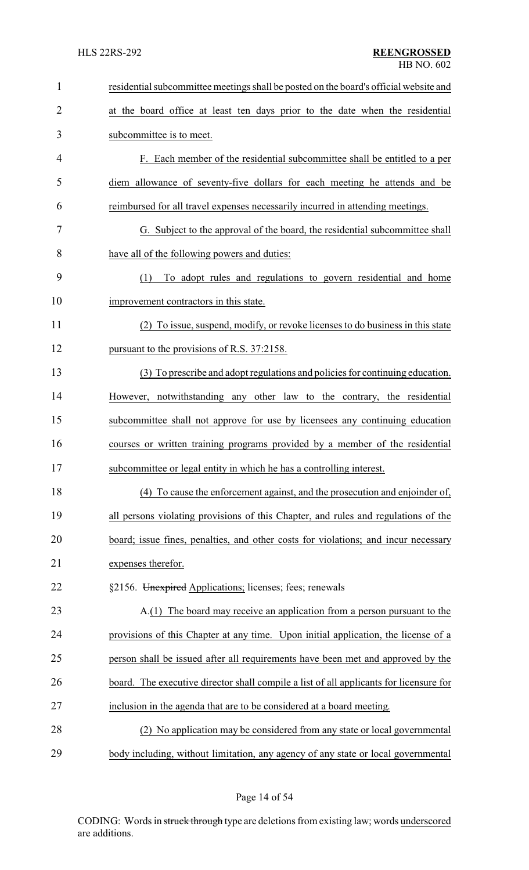| $\mathbf{1}$   | residential subcommittee meetings shall be posted on the board's official website and  |
|----------------|----------------------------------------------------------------------------------------|
| $\overline{2}$ | at the board office at least ten days prior to the date when the residential           |
| 3              | subcommittee is to meet.                                                               |
| 4              | F. Each member of the residential subcommittee shall be entitled to a per              |
| 5              | diem allowance of seventy-five dollars for each meeting he attends and be              |
| 6              | reimbursed for all travel expenses necessarily incurred in attending meetings.         |
| 7              | G. Subject to the approval of the board, the residential subcommittee shall            |
| 8              | have all of the following powers and duties:                                           |
| 9              | To adopt rules and regulations to govern residential and home<br>(1)                   |
| 10             | improvement contractors in this state.                                                 |
| 11             | (2) To issue, suspend, modify, or revoke licenses to do business in this state         |
| 12             | pursuant to the provisions of R.S. 37:2158.                                            |
| 13             | (3) To prescribe and adopt regulations and policies for continuing education.          |
| 14             | However, notwithstanding any other law to the contrary, the residential                |
| 15             | subcommittee shall not approve for use by licensees any continuing education           |
| 16             | courses or written training programs provided by a member of the residential           |
| 17             | subcommittee or legal entity in which he has a controlling interest.                   |
| 18             | (4) To cause the enforcement against, and the prosecution and enjoinder of,            |
| 19             | all persons violating provisions of this Chapter, and rules and regulations of the     |
| 20             | board; issue fines, penalties, and other costs for violations; and incur necessary     |
| 21             | expenses therefor.                                                                     |
| 22             | §2156. Unexpired Applications; licenses; fees; renewals                                |
| 23             | A.(1) The board may receive an application from a person pursuant to the               |
| 24             | provisions of this Chapter at any time. Upon initial application, the license of a     |
| 25             | person shall be issued after all requirements have been met and approved by the        |
| 26             | board. The executive director shall compile a list of all applicants for licensure for |
| 27             | inclusion in the agenda that are to be considered at a board meeting.                  |
| 28             | (2) No application may be considered from any state or local governmental              |
| 29             | body including, without limitation, any agency of any state or local governmental      |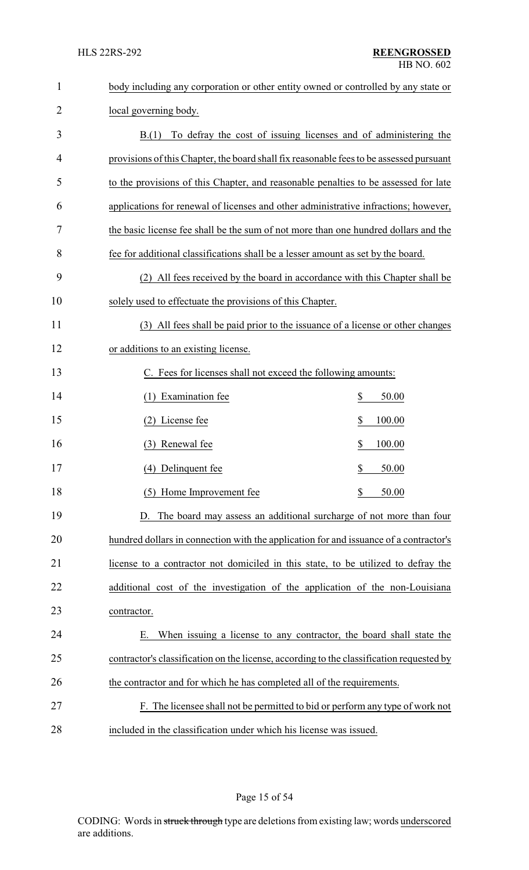| $\mathbf{1}$   | body including any corporation or other entity owned or controlled by any state or       |
|----------------|------------------------------------------------------------------------------------------|
| $\overline{2}$ | local governing body.                                                                    |
| 3              | To defray the cost of issuing licenses and of administering the<br>B(1)                  |
| 4              | provisions of this Chapter, the board shall fix reasonable fees to be assessed pursuant  |
| 5              | to the provisions of this Chapter, and reasonable penalties to be assessed for late      |
| 6              | applications for renewal of licenses and other administrative infractions; however,      |
| 7              | the basic license fee shall be the sum of not more than one hundred dollars and the      |
| 8              | fee for additional classifications shall be a lesser amount as set by the board.         |
| 9              | (2) All fees received by the board in accordance with this Chapter shall be              |
| 10             | solely used to effectuate the provisions of this Chapter.                                |
| 11             | (3) All fees shall be paid prior to the issuance of a license or other changes           |
| 12             | or additions to an existing license.                                                     |
| 13             | C. Fees for licenses shall not exceed the following amounts:                             |
| 14             | (1) Examination fee<br>\$<br>50.00                                                       |
| 15             | (2) License fee<br>\$<br>100.00                                                          |
| 16             | (3) Renewal fee<br>\$<br>100.00                                                          |
| 17             | \$<br>(4) Delinquent fee<br>50.00                                                        |
| 18             | \$<br>(5) Home Improvement fee<br>50.00                                                  |
| 19             | D. The board may assess an additional surcharge of not more than four                    |
| 20             | hundred dollars in connection with the application for and issuance of a contractor's    |
| 21             | license to a contractor not domiciled in this state, to be utilized to defray the        |
| 22             | additional cost of the investigation of the application of the non-Louisiana             |
| 23             | contractor.                                                                              |
| 24             | When issuing a license to any contractor, the board shall state the<br>Е.                |
| 25             | contractor's classification on the license, according to the classification requested by |
| 26             | the contractor and for which he has completed all of the requirements.                   |
| 27             | F. The licensee shall not be permitted to bid or perform any type of work not            |
| 28             | included in the classification under which his license was issued.                       |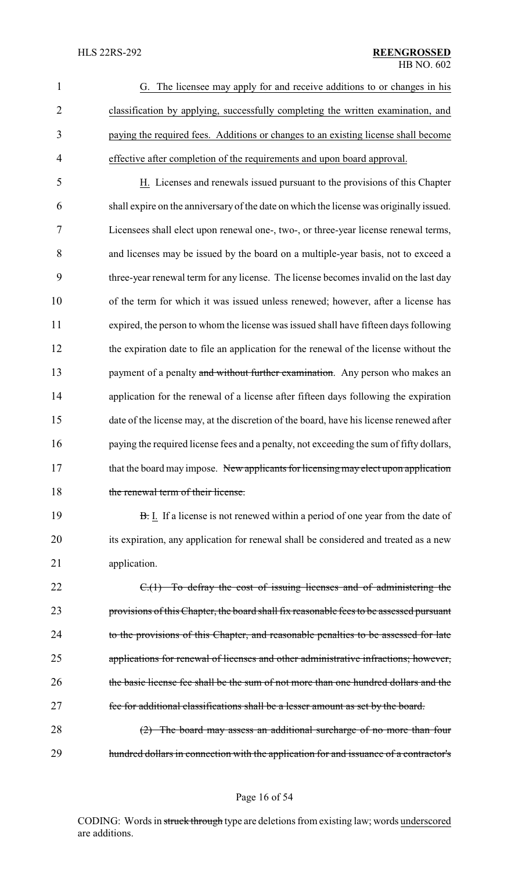|   | G. The licensee may apply for and receive additions to or changes in his           |
|---|------------------------------------------------------------------------------------|
|   | classification by applying, successfully completing the written examination, and   |
|   | paying the required fees. Additions or changes to an existing license shall become |
| 4 | effective after completion of the requirements and upon board approval.            |

 H. Licenses and renewals issued pursuant to the provisions of this Chapter shall expire on the anniversary of the date on which the license was originally issued. Licensees shall elect upon renewal one-, two-, or three-year license renewal terms, and licenses may be issued by the board on a multiple-year basis, not to exceed a three-year renewal term for any license. The license becomes invalid on the last day of the term for which it was issued unless renewed; however, after a license has expired, the person to whom the license was issued shall have fifteen days following the expiration date to file an application for the renewal of the license without the 13 payment of a penalty and without further examination. Any person who makes an 14 application for the renewal of a license after fifteen days following the expiration date of the license may, at the discretion of the board, have his license renewed after 16 paying the required license fees and a penalty, not exceeding the sum of fifty dollars, 17 that the board may impose. New applicants for licensing may elect upon application 18 the renewal term of their license.

19 **B.** I. If a license is not renewed within a period of one year from the date of 20 its expiration, any application for renewal shall be considered and treated as a new 21 application.

22 C.(1) To defray the cost of issuing licenses and of administering the 23 provisions of this Chapter, the board shall fix reasonable fees to be assessed pursuant 24 to the provisions of this Chapter, and reasonable penalties to be assessed for late 25 applications for renewal of licenses and other administrative infractions; however, 26 the basic license fee shall be the sum of not more than one hundred dollars and the 27 fee for additional classifications shall be a lesser amount as set by the board.

28 (2) The board may assess an additional surcharge of no more than four 29 hundred dollars in connection with the application for and issuance of a contractor's

Page 16 of 54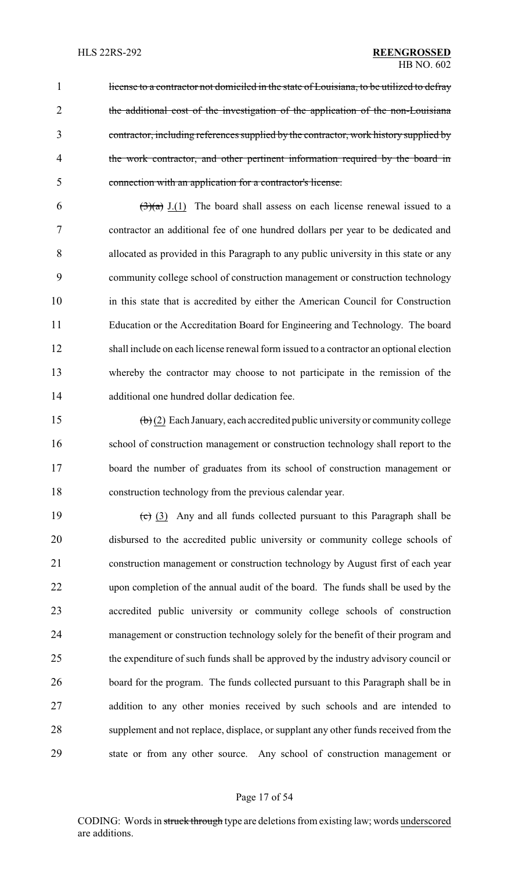1 license to a contractor not domiciled in the state of Louisiana, to be utilized to defray the additional cost of the investigation of the application of the non-Louisiana contractor, including references supplied by the contractor, work history supplied by 4 the work contractor, and other pertinent information required by the board in connection with an application for a contractor's license.

 $(3)(a)$  J.(1) The board shall assess on each license renewal issued to a contractor an additional fee of one hundred dollars per year to be dedicated and allocated as provided in this Paragraph to any public university in this state or any community college school of construction management or construction technology in this state that is accredited by either the American Council for Construction Education or the Accreditation Board for Engineering and Technology. The board shall include on each license renewal form issued to a contractor an optional election whereby the contractor may choose to not participate in the remission of the additional one hundred dollar dedication fee.

 (b) (2) Each January, each accredited public university or community college school of construction management or construction technology shall report to the board the number of graduates from its school of construction management or construction technology from the previous calendar year.

 $\left(\frac{c}{c}\right)$  (3) Any and all funds collected pursuant to this Paragraph shall be disbursed to the accredited public university or community college schools of construction management or construction technology by August first of each year upon completion of the annual audit of the board. The funds shall be used by the accredited public university or community college schools of construction management or construction technology solely for the benefit of their program and the expenditure of such funds shall be approved by the industry advisory council or board for the program. The funds collected pursuant to this Paragraph shall be in addition to any other monies received by such schools and are intended to supplement and not replace, displace, or supplant any other funds received from the state or from any other source. Any school of construction management or

#### Page 17 of 54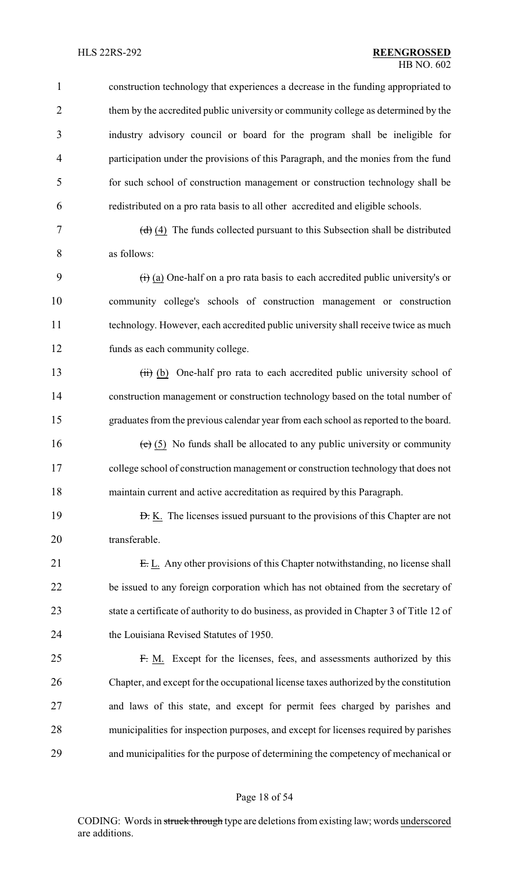construction technology that experiences a decrease in the funding appropriated to them by the accredited public university or community college as determined by the industry advisory council or board for the program shall be ineligible for participation under the provisions of this Paragraph, and the monies from the fund for such school of construction management or construction technology shall be redistributed on a pro rata basis to all other accredited and eligible schools.

7  $(d)$   $(4)$  The funds collected pursuant to this Subsection shall be distributed as follows:

 $\left(\frac{1}{1}\right)$  (a) One-half on a pro rata basis to each accredited public university's or community college's schools of construction management or construction technology. However, each accredited public university shall receive twice as much funds as each community college.

13 (ii) (b) One-half pro rata to each accredited public university school of construction management or construction technology based on the total number of graduates from the previous calendar year from each school as reported to the board.

16 (e)  $(5)$  No funds shall be allocated to any public university or community college school of construction management or construction technology that does not maintain current and active accreditation as required by this Paragraph.

**D.** K. The licenses issued pursuant to the provisions of this Chapter are not transferable.

21 E. L. Any other provisions of this Chapter notwithstanding, no license shall be issued to any foreign corporation which has not obtained from the secretary of state a certificate of authority to do business, as provided in Chapter 3 of Title 12 of the Louisiana Revised Statutes of 1950.

 F. M. Except for the licenses, fees, and assessments authorized by this Chapter, and except for the occupational license taxes authorized by the constitution and laws of this state, and except for permit fees charged by parishes and municipalities for inspection purposes, and except for licenses required by parishes and municipalities for the purpose of determining the competency of mechanical or

#### Page 18 of 54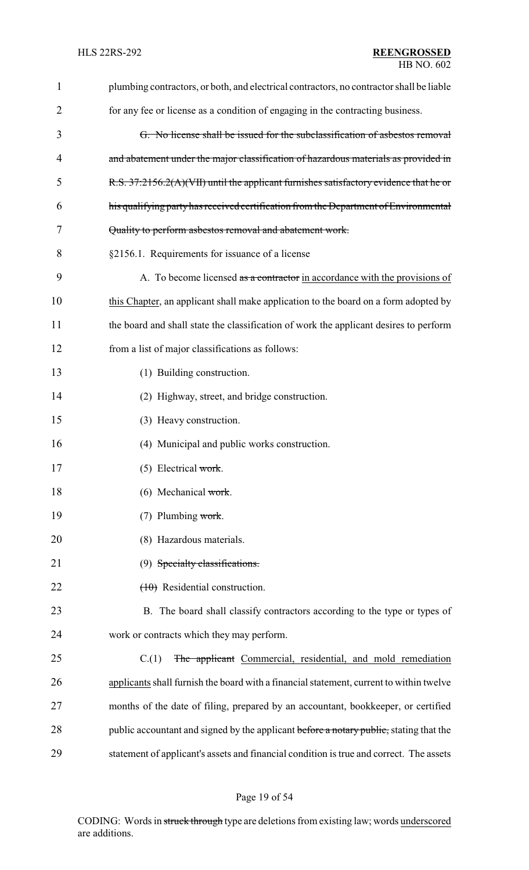| $\mathbf{1}$ | plumbing contractors, or both, and electrical contractors, no contractor shall be liable |
|--------------|------------------------------------------------------------------------------------------|
| 2            | for any fee or license as a condition of engaging in the contracting business.           |
| 3            | G. No license shall be issued for the subclassification of asbestos removal              |
| 4            | and abatement under the major classification of hazardous materials as provided in       |
| 5            | R.S. 37:2156.2(A)(VII) until the applicant furnishes satisfactory evidence that he or    |
| 6            | his qualifying party has received certification from the Department of Environmental     |
| 7            | Quality to perform asbestos removal and abatement work.                                  |
| 8            | §2156.1. Requirements for issuance of a license                                          |
| 9            | A. To become licensed as a contractor in accordance with the provisions of               |
| 10           | this Chapter, an applicant shall make application to the board on a form adopted by      |
| 11           | the board and shall state the classification of work the applicant desires to perform    |
| 12           | from a list of major classifications as follows:                                         |
| 13           | (1) Building construction.                                                               |
| 14           | (2) Highway, street, and bridge construction.                                            |
| 15           | (3) Heavy construction.                                                                  |
| 16           | (4) Municipal and public works construction.                                             |
| 17           | $(5)$ Electrical work.                                                                   |
| 18           | (6) Mechanical work.                                                                     |
| 19           | (7) Plumbing work.                                                                       |
| 20           | (8) Hazardous materials.                                                                 |
| 21           | (9) Specialty classifications.                                                           |
| 22           | $(10)$ Residential construction.                                                         |
| 23           | B. The board shall classify contractors according to the type or types of                |
| 24           | work or contracts which they may perform.                                                |
| 25           | The applicant Commercial, residential, and mold remediation<br>C(1)                      |
| 26           | applicants shall furnish the board with a financial statement, current to within twelve  |
| 27           | months of the date of filing, prepared by an accountant, bookkeeper, or certified        |
| 28           | public accountant and signed by the applicant before a notary public, stating that the   |
| 29           | statement of applicant's assets and financial condition is true and correct. The assets  |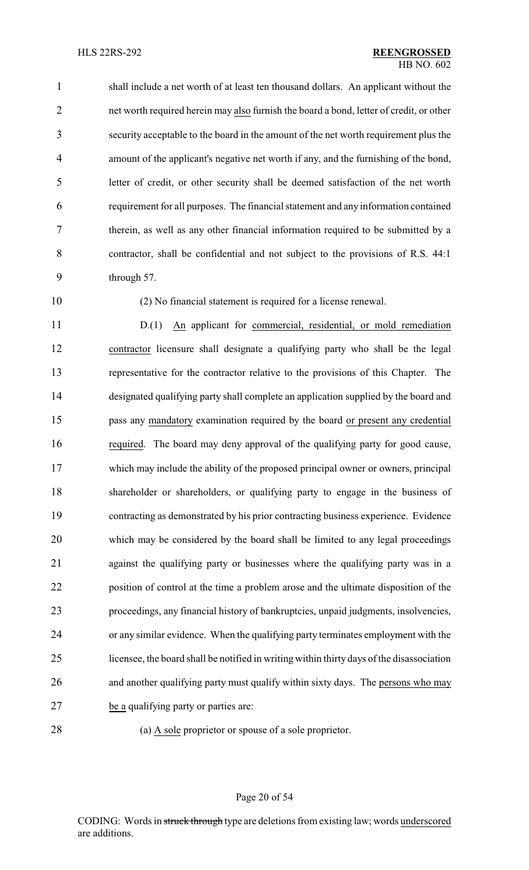shall include a net worth of at least ten thousand dollars. An applicant without the net worth required herein may also furnish the board a bond, letter of credit, or other security acceptable to the board in the amount of the net worth requirement plus the amount of the applicant's negative net worth if any, and the furnishing of the bond, letter of credit, or other security shall be deemed satisfaction of the net worth requirement for all purposes. The financial statement and any information contained therein, as well as any other financial information required to be submitted by a contractor, shall be confidential and not subject to the provisions of R.S. 44:1 through 57.

(2) No financial statement is required for a license renewal.

 D.(1) An applicant for commercial, residential, or mold remediation contractor licensure shall designate a qualifying party who shall be the legal representative for the contractor relative to the provisions of this Chapter. The designated qualifying party shall complete an application supplied by the board and pass any mandatory examination required by the board or present any credential required. The board may deny approval of the qualifying party for good cause, which may include the ability of the proposed principal owner or owners, principal shareholder or shareholders, or qualifying party to engage in the business of contracting as demonstrated by his prior contracting business experience. Evidence which may be considered by the board shall be limited to any legal proceedings against the qualifying party or businesses where the qualifying party was in a position of control at the time a problem arose and the ultimate disposition of the proceedings, any financial history of bankruptcies, unpaid judgments, insolvencies, or any similar evidence. When the qualifying party terminates employment with the licensee, the board shall be notified in writing within thirty days of the disassociation and another qualifying party must qualify within sixty days. The persons who may be a qualifying party or parties are:

(a) A sole proprietor or spouse of a sole proprietor.

Page 20 of 54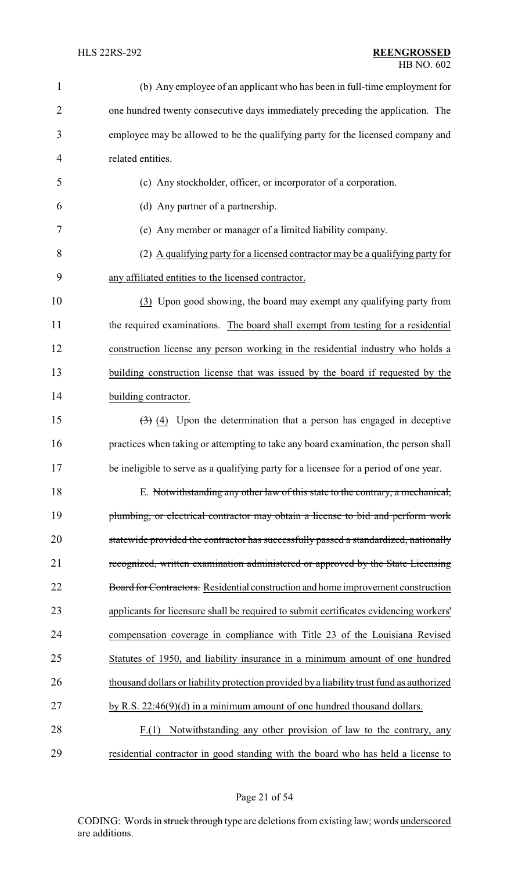| $\mathbf{1}$   | (b) Any employee of an applicant who has been in full-time employment for                    |
|----------------|----------------------------------------------------------------------------------------------|
| $\overline{2}$ | one hundred twenty consecutive days immediately preceding the application. The               |
| 3              | employee may be allowed to be the qualifying party for the licensed company and              |
| 4              | related entities.                                                                            |
| 5              | (c) Any stockholder, officer, or incorporator of a corporation.                              |
| 6              | (d) Any partner of a partnership.                                                            |
| 7              | (e) Any member or manager of a limited liability company.                                    |
| 8              | (2) A qualifying party for a licensed contractor may be a qualifying party for               |
| 9              | any affiliated entities to the licensed contractor.                                          |
| 10             | (3) Upon good showing, the board may exempt any qualifying party from                        |
| 11             | the required examinations. The board shall exempt from testing for a residential             |
| 12             | construction license any person working in the residential industry who holds a              |
| 13             | building construction license that was issued by the board if requested by the               |
| 14             | building contractor.                                                                         |
| 15             | $\left(\frac{1}{2}\right)$ (4) Upon the determination that a person has engaged in deceptive |
| 16             | practices when taking or attempting to take any board examination, the person shall          |
| 17             | be ineligible to serve as a qualifying party for a licensee for a period of one year.        |
| 18             | E. Notwithstanding any other law of this state to the contrary, a mechanical,                |
| 19             | plumbing, or electrical contractor may obtain a license to bid and perform work              |
| 20             | statewide provided the contractor has successfully passed a standardized, nationally         |
| 21             | recognized, written examination administered or approved by the State Licensing              |
| 22             | Board for Contractors. Residential construction and home improvement construction            |
| 23             | applicants for licensure shall be required to submit certificates evidencing workers'        |
| 24             | compensation coverage in compliance with Title 23 of the Louisiana Revised                   |
| 25             | Statutes of 1950, and liability insurance in a minimum amount of one hundred                 |
| 26             | thousand dollars or liability protection provided by a liability trust fund as authorized    |
| 27             | by R.S. $22:46(9)(d)$ in a minimum amount of one hundred thousand dollars.                   |
| 28             | Notwithstanding any other provision of law to the contrary, any<br>F(1)                      |
| 29             | residential contractor in good standing with the board who has held a license to             |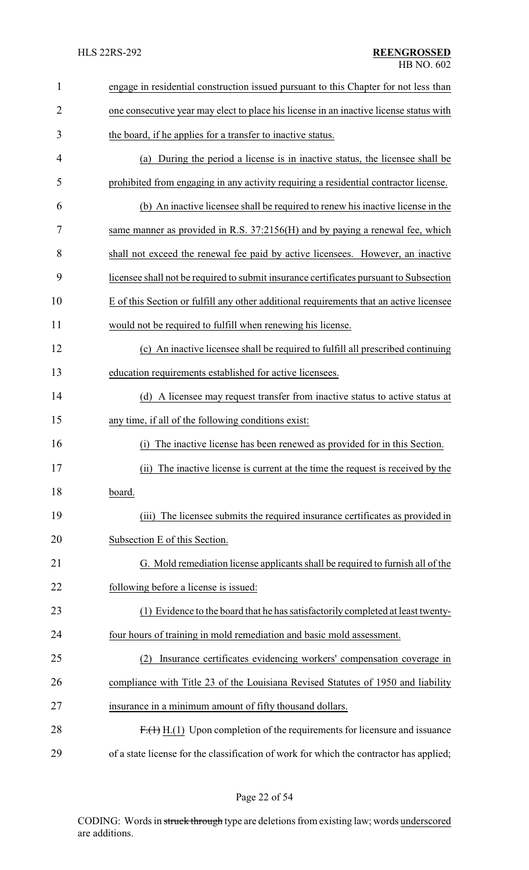| $\mathbf{1}$   | engage in residential construction issued pursuant to this Chapter for not less than    |
|----------------|-----------------------------------------------------------------------------------------|
| $\overline{2}$ | one consecutive year may elect to place his license in an inactive license status with  |
| 3              | the board, if he applies for a transfer to inactive status.                             |
| 4              | (a) During the period a license is in inactive status, the licensee shall be            |
| 5              | prohibited from engaging in any activity requiring a residential contractor license.    |
| 6              | (b) An inactive licensee shall be required to renew his inactive license in the         |
| 7              | same manner as provided in R.S. 37:2156(H) and by paying a renewal fee, which           |
| 8              | shall not exceed the renewal fee paid by active licensees. However, an inactive         |
| 9              | licensee shall not be required to submit insurance certificates pursuant to Subsection  |
| 10             | E of this Section or fulfill any other additional requirements that an active licensee  |
| 11             | would not be required to fulfill when renewing his license.                             |
| 12             | (c) An inactive licensee shall be required to fulfill all prescribed continuing         |
| 13             | education requirements established for active licensees.                                |
| 14             | (d) A licensee may request transfer from inactive status to active status at            |
| 15             | any time, if all of the following conditions exist:                                     |
| 16             | The inactive license has been renewed as provided for in this Section.<br>(1)           |
| 17             | (ii)<br>The inactive license is current at the time the request is received by the      |
| 18             | board.                                                                                  |
| 19             | The licensee submits the required insurance certificates as provided in<br>(iii)        |
| 20             | Subsection E of this Section.                                                           |
| 21             | G. Mold remediation license applicants shall be required to furnish all of the          |
| 22             | following before a license is issued:                                                   |
| 23             | (1) Evidence to the board that he has satisfactorily completed at least twenty-         |
| 24             | four hours of training in mold remediation and basic mold assessment.                   |
| 25             | Insurance certificates evidencing workers' compensation coverage in<br>(2)              |
| 26             | compliance with Title 23 of the Louisiana Revised Statutes of 1950 and liability        |
| 27             | insurance in a minimum amount of fifty thousand dollars.                                |
| 28             | $F1(1)$ H.(1) Upon completion of the requirements for licensure and issuance            |
| 29             | of a state license for the classification of work for which the contractor has applied; |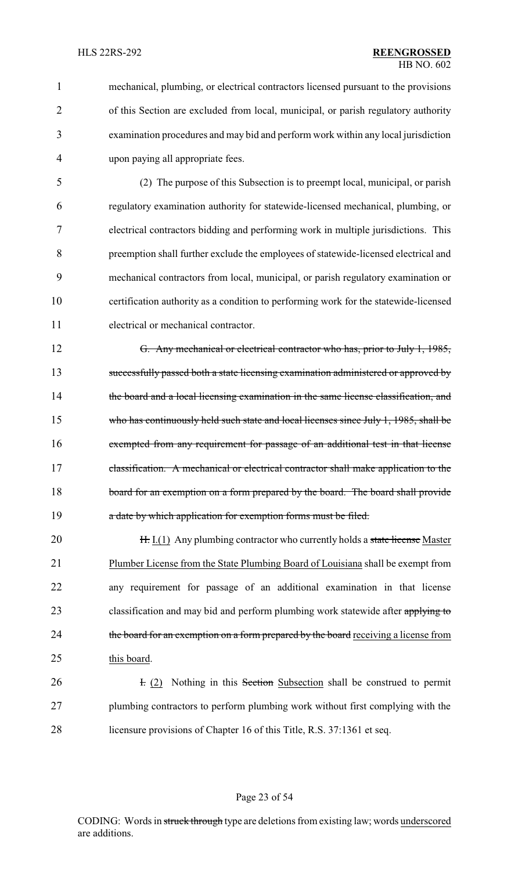mechanical, plumbing, or electrical contractors licensed pursuant to the provisions of this Section are excluded from local, municipal, or parish regulatory authority examination procedures and may bid and perform work within any local jurisdiction upon paying all appropriate fees.

 (2) The purpose of this Subsection is to preempt local, municipal, or parish regulatory examination authority for statewide-licensed mechanical, plumbing, or electrical contractors bidding and performing work in multiple jurisdictions. This preemption shall further exclude the employees of statewide-licensed electrical and mechanical contractors from local, municipal, or parish regulatory examination or certification authority as a condition to performing work for the statewide-licensed electrical or mechanical contractor.

 G. Any mechanical or electrical contractor who has, prior to July 1, 1985, successfully passed both a state licensing examination administered or approved by 14 the board and a local licensing examination in the same license classification, and 15 who has continuously held such state and local licenses since July 1, 1985, shall be exempted from any requirement for passage of an additional test in that license 17 classification. A mechanical or electrical contractor shall make application to the 18 board for an exemption on a form prepared by the board. The board shall provide **a** date by which application for exemption forms must be filed.

**H.** I.(1) Any plumbing contractor who currently holds a state license Master Plumber License from the State Plumbing Board of Louisiana shall be exempt from any requirement for passage of an additional examination in that license 23 classification and may bid and perform plumbing work statewide after applying to 24 the board for an exemption on a form prepared by the board receiving a license from this board.

**I.** (2) Nothing in this Section Subsection shall be construed to permit plumbing contractors to perform plumbing work without first complying with the licensure provisions of Chapter 16 of this Title, R.S. 37:1361 et seq.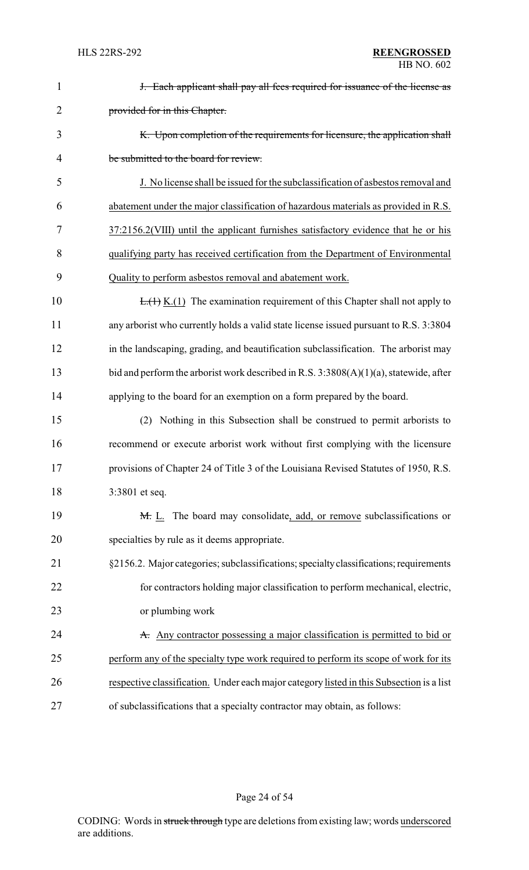| $\mathbf{1}$   | <b>J.</b> Each applicant shall pay all fees required for issuance of the license as      |
|----------------|------------------------------------------------------------------------------------------|
| $\overline{2}$ | provided for in this Chapter.                                                            |
| 3              | K. Upon completion of the requirements for licensure, the application shall              |
| 4              | be submitted to the board for review.                                                    |
| 5              | J. No license shall be issued for the subclassification of asbestos removal and          |
| 6              | abatement under the major classification of hazardous materials as provided in R.S.      |
| 7              | 37:2156.2(VIII) until the applicant furnishes satisfactory evidence that he or his       |
| 8              | qualifying party has received certification from the Department of Environmental         |
| 9              | Quality to perform asbestos removal and abatement work.                                  |
| 10             | $E_{\cdot}(1)$ K.(1) The examination requirement of this Chapter shall not apply to      |
| 11             | any arborist who currently holds a valid state license issued pursuant to R.S. 3:3804    |
| 12             | in the landscaping, grading, and beautification subclassification. The arborist may      |
| 13             | bid and perform the arborist work described in R.S. $3:3808(A)(1)(a)$ , statewide, after |
| 14             | applying to the board for an exemption on a form prepared by the board.                  |
| 15             | (2) Nothing in this Subsection shall be construed to permit arborists to                 |
| 16             | recommend or execute arborist work without first complying with the licensure            |
| 17             | provisions of Chapter 24 of Title 3 of the Louisiana Revised Statutes of 1950, R.S.      |
| 18             | 3:3801 et seq.                                                                           |
| 19             | M. L. The board may consolidate, add, or remove subclassifications or                    |
| 20             | specialties by rule as it deems appropriate.                                             |
| 21             | §2156.2. Major categories; subclassifications; specialty classifications; requirements   |
| 22             | for contractors holding major classification to perform mechanical, electric,            |
| 23             | or plumbing work                                                                         |
| 24             | A. Any contractor possessing a major classification is permitted to bid or               |
| 25             | perform any of the specialty type work required to perform its scope of work for its     |
| 26             | respective classification. Under each major category listed in this Subsection is a list |
| 27             | of subclassifications that a specialty contractor may obtain, as follows:                |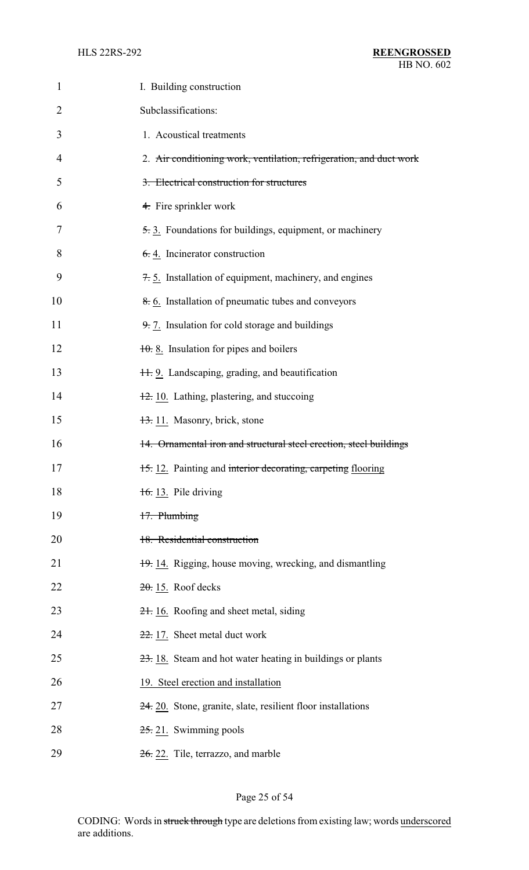| 1  | I. Building construction                                            |
|----|---------------------------------------------------------------------|
| 2  | Subclassifications:                                                 |
| 3  | 1. Acoustical treatments                                            |
| 4  | 2. Air conditioning work, ventilation, refrigeration, and duct work |
| 5  | 3. Electrical construction for structures                           |
| 6  | 4. Fire sprinkler work                                              |
| 7  | 5.3. Foundations for buildings, equipment, or machinery             |
| 8  | $6.4$ . Incinerator construction                                    |
| 9  | $\pm$ 5. Installation of equipment, machinery, and engines          |
| 10 | $\frac{8}{6}$ . Installation of pneumatic tubes and conveyors       |
| 11 | 9.7. Insulation for cold storage and buildings                      |
| 12 | $10.8$ . Insulation for pipes and boilers                           |
| 13 | 11. 9. Landscaping, grading, and beautification                     |
| 14 | $\frac{12}{2}$ 10. Lathing, plastering, and stuccoing               |
| 15 | 13. 11. Masonry, brick, stone                                       |
| 16 | 14. Ornamental iron and structural steel erection, steel buildings  |
| 17 | 15. 12. Painting and interior decorating, carpeting flooring        |
| 18 | $\frac{1}{6}$ . 13. Pile driving                                    |
| 19 | 17. Plumbing                                                        |
| 20 | 18. Residential construction                                        |
| 21 | 19. 14. Rigging, house moving, wrecking, and dismantling            |
| 22 | $20.15$ . Roof decks                                                |
| 23 | 21. 16. Roofing and sheet metal, siding                             |
| 24 | 22. 17. Sheet metal duct work                                       |
| 25 | 23. 18. Steam and hot water heating in buildings or plants          |
| 26 | 19. Steel erection and installation                                 |
| 27 | 24. 20. Stone, granite, slate, resilient floor installations        |
| 28 | $25.21$ . Swimming pools                                            |
| 29 | 26. 22. Tile, terrazzo, and marble                                  |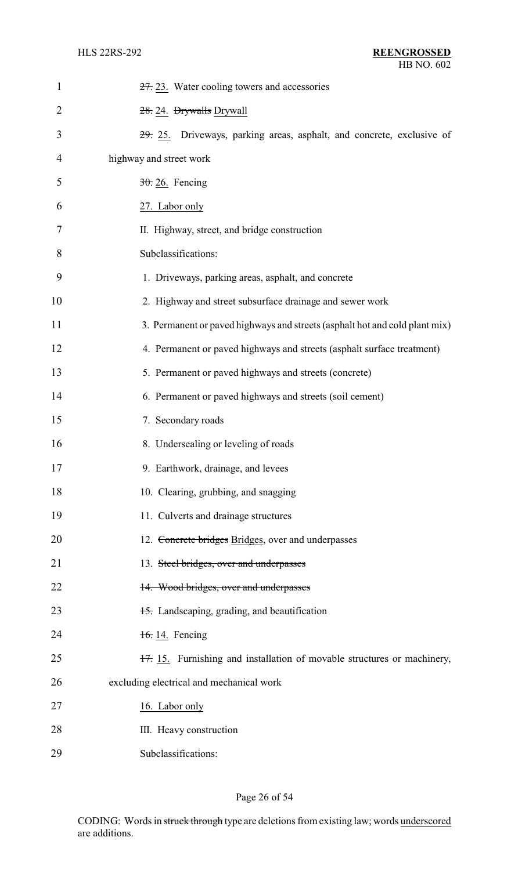| $\mathbf{1}$   | 27. 23. Water cooling towers and accessories                                |
|----------------|-----------------------------------------------------------------------------|
| $\overline{2}$ | 28. 24. Drywalls Drywall                                                    |
| 3              | 29. 25. Driveways, parking areas, asphalt, and concrete, exclusive of       |
| $\overline{4}$ | highway and street work                                                     |
| 5              | $30.26$ . Fencing                                                           |
| 6              | 27. Labor only                                                              |
| 7              | II. Highway, street, and bridge construction                                |
| 8              | Subclassifications:                                                         |
| 9              | 1. Driveways, parking areas, asphalt, and concrete                          |
| 10             | 2. Highway and street subsurface drainage and sewer work                    |
| 11             | 3. Permanent or paved highways and streets (asphalt hot and cold plant mix) |
| 12             | 4. Permanent or paved highways and streets (asphalt surface treatment)      |
| 13             | 5. Permanent or paved highways and streets (concrete)                       |
| 14             | 6. Permanent or paved highways and streets (soil cement)                    |
| 15             | 7. Secondary roads                                                          |
| 16             | 8. Undersealing or leveling of roads                                        |
| 17             | 9. Earthwork, drainage, and levees                                          |
| 18             | 10. Clearing, grubbing, and snagging                                        |
| 19             | 11. Culverts and drainage structures                                        |
| 20             | 12. Concrete bridges Bridges, over and underpasses                          |
| 21             | 13. Steel bridges, over and underpasses                                     |
| 22             | 14. Wood bridges, over and underpasses                                      |
| 23             | 15. Landscaping, grading, and beautification                                |
| 24             | 16.14. Fencing                                                              |
| 25             | 17. 15. Furnishing and installation of movable structures or machinery,     |
| 26             | excluding electrical and mechanical work                                    |
| 27             | 16. Labor only                                                              |
| 28             | III. Heavy construction                                                     |
| 29             | Subclassifications:                                                         |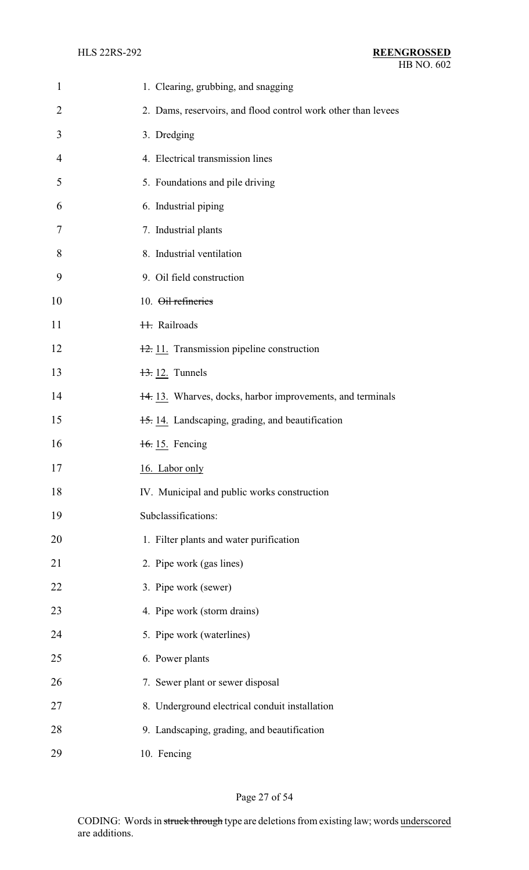| $\mathbf{1}$   | 1. Clearing, grubbing, and snagging                           |
|----------------|---------------------------------------------------------------|
| $\overline{2}$ | 2. Dams, reservoirs, and flood control work other than levees |
| 3              | 3. Dredging                                                   |
| 4              | 4. Electrical transmission lines                              |
| 5              | 5. Foundations and pile driving                               |
| 6              | 6. Industrial piping                                          |
| 7              | 7. Industrial plants                                          |
| 8              | 8. Industrial ventilation                                     |
| 9              | 9. Oil field construction                                     |
| 10             | 10. Oil refineries                                            |
| 11             | <b>H.</b> Railroads                                           |
| 12             | 12. 11. Transmission pipeline construction                    |
| 13             | $\frac{13}{2}$ 12. Tunnels                                    |
| 14             | 14. 13. Wharves, docks, harbor improvements, and terminals    |
| 15             | 15. 14. Landscaping, grading, and beautification              |
| 16             | 16. 15. Fencing                                               |
| 17             | 16. Labor only                                                |
| 18             | IV. Municipal and public works construction                   |
| 19             | Subclassifications:                                           |
| 20             | 1. Filter plants and water purification                       |
| 21             | 2. Pipe work (gas lines)                                      |
| 22             | 3. Pipe work (sewer)                                          |
| 23             | 4. Pipe work (storm drains)                                   |
| 24             | 5. Pipe work (waterlines)                                     |
| 25             | 6. Power plants                                               |
| 26             | 7. Sewer plant or sewer disposal                              |
| 27             | 8. Underground electrical conduit installation                |
| 28             | 9. Landscaping, grading, and beautification                   |
| 29             | 10. Fencing                                                   |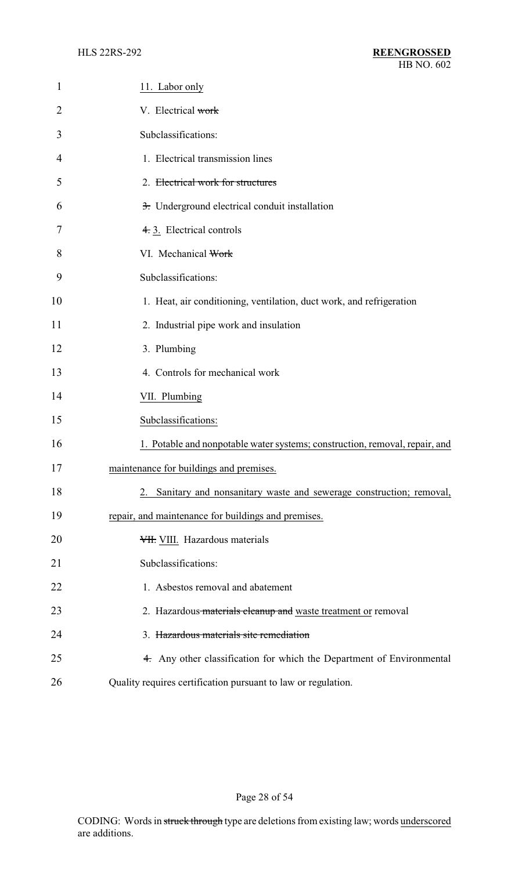| $\mathbf{1}$ | 11. Labor only                                                              |
|--------------|-----------------------------------------------------------------------------|
| 2            | V. Electrical work                                                          |
| 3            | Subclassifications:                                                         |
| 4            | 1. Electrical transmission lines                                            |
| 5            | 2. Electrical work for structures                                           |
| 6            | 3. Underground electrical conduit installation                              |
| 7            | 4. 3. Electrical controls                                                   |
| 8            | VI. Mechanical Work                                                         |
| 9            | Subclassifications:                                                         |
| 10           | 1. Heat, air conditioning, ventilation, duct work, and refrigeration        |
| 11           | 2. Industrial pipe work and insulation                                      |
| 12           | 3. Plumbing                                                                 |
| 13           | 4. Controls for mechanical work                                             |
| 14           | VII. Plumbing                                                               |
| 15           | Subclassifications:                                                         |
| 16           | 1. Potable and nonpotable water systems; construction, removal, repair, and |
| 17           | maintenance for buildings and premises.                                     |
| 18           | 2. Sanitary and nonsanitary waste and sewerage construction; removal,       |
| 19           | repair, and maintenance for buildings and premises.                         |
| 20           | VII. VIII. Hazardous materials                                              |
| 21           | Subclassifications:                                                         |
| 22           | 1. Asbestos removal and abatement                                           |
| 23           | 2. Hazardous materials cleanup and waste treatment or removal               |
| 24           | 3. Hazardous materials site remediation                                     |
| 25           | 4. Any other classification for which the Department of Environmental       |
| 26           | Quality requires certification pursuant to law or regulation.               |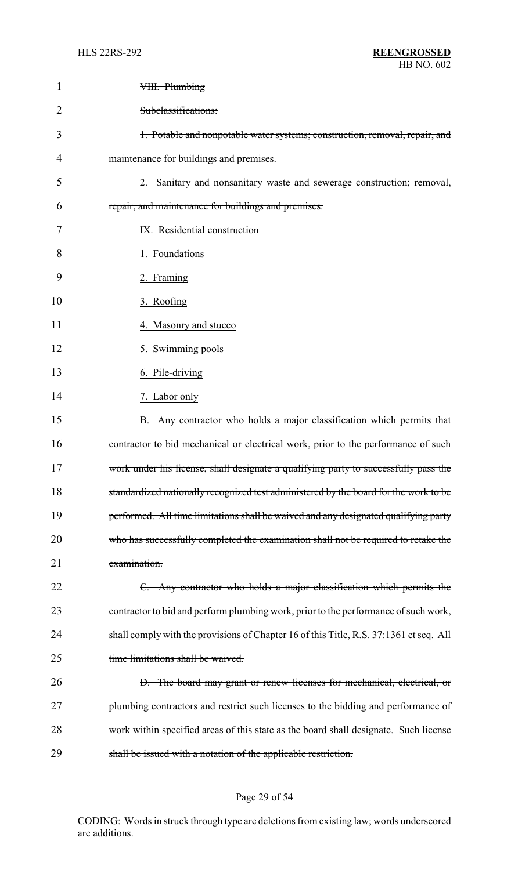| 1              | VIII. Plumbing                                                                         |
|----------------|----------------------------------------------------------------------------------------|
| $\overline{2}$ | Subclassifications:                                                                    |
| 3              | 1. Potable and nonpotable water systems; construction, removal, repair, and            |
| 4              | maintenance for buildings and premises.                                                |
| 5              | 2. Sanitary and nonsanitary waste and sewerage construction; removal,                  |
| 6              | repair, and maintenance for buildings and premises.                                    |
| 7              | IX. Residential construction                                                           |
| 8              | 1. Foundations                                                                         |
| 9              | 2. Framing                                                                             |
| 10             | 3. Roofing                                                                             |
| 11             | 4. Masonry and stucco                                                                  |
| 12             | 5. Swimming pools                                                                      |
| 13             | 6. Pile-driving                                                                        |
| 14             | 7. Labor only                                                                          |
| 15             | B. Any contractor who holds a major classification which permits that                  |
| 16             | contractor to bid mechanical or electrical work, prior to the performance of such      |
| 17             | work under his license, shall designate a qualifying party to successfully pass the    |
| 18             | standardized nationally recognized test administered by the board for the work to be   |
| 19             | performed. All time limitations shall be waived and any designated qualifying party    |
| 20             | who has successfully completed the examination shall not be required to retake the     |
| 21             | examination.                                                                           |
| 22             | C. Any contractor who holds a major classification which permits the                   |
| 23             | contractor to bid and perform plumbing work, prior to the performance of such work,    |
| 24             | shall comply with the provisions of Chapter 16 of this Title, R.S. 37:1361 et seq. All |
| 25             | time limitations shall be waived.                                                      |
| 26             | D. The board may grant or renew licenses for mechanical, electrical, or                |
| 27             | plumbing contractors and restrict such licenses to the bidding and performance of      |
| 28             | work within specified areas of this state as the board shall designate. Such license   |
| 29             | shall be issued with a notation of the applicable restriction.                         |

# Page 29 of 54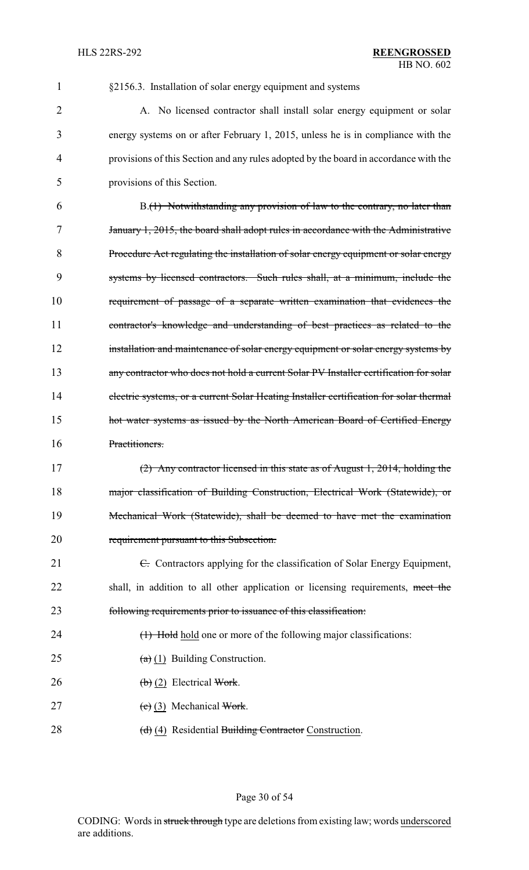| 1              | §2156.3. Installation of solar energy equipment and systems                            |
|----------------|----------------------------------------------------------------------------------------|
| $\overline{2}$ | A. No licensed contractor shall install solar energy equipment or solar                |
| 3              | energy systems on or after February 1, 2015, unless he is in compliance with the       |
| 4              | provisions of this Section and any rules adopted by the board in accordance with the   |
| 5              | provisions of this Section.                                                            |
| 6              | B.(1) Notwithstanding any provision of law to the contrary, no later than              |
| 7              | January 1, 2015, the board shall adopt rules in accordance with the Administrative     |
| 8              | Procedure Act regulating the installation of solar energy equipment or solar energy    |
| 9              | systems by licensed contractors. Such rules shall, at a minimum, include the           |
| 10             | requirement of passage of a separate written examination that evidences the            |
| 11             | contractor's knowledge and understanding of best practices as related to the           |
| 12             | installation and maintenance of solar energy equipment or solar energy systems by      |
| 13             | any contractor who does not hold a current Solar PV Installer certification for solar  |
| 14             | electric systems, or a current Solar Heating Installer certification for solar thermal |
| 15             | hot water systems as issued by the North American Board of Certified Energy            |
| 16             | Practitioners.                                                                         |
| 17             | (2) Any contractor licensed in this state as of August 1, 2014, holding the            |
| 18             | major classification of Building Construction, Electrical Work (Statewide), or         |
| 19             | Mechanical Work (Statewide), shall be deemed to have met the examination               |
| 20             | requirement pursuant to this Subsection.                                               |
| 21             | E. Contractors applying for the classification of Solar Energy Equipment,              |
| 22             | shall, in addition to all other application or licensing requirements, meet the        |
| 23             | following requirements prior to issuance of this classification:                       |
| 24             | (1) Hold hold one or more of the following major classifications:                      |
| 25             | $(a)$ (1) Building Construction.                                                       |
| 26             | $\left(\frac{b}{c}\right)$ (2) Electrical Work.                                        |
| 27             | $(e)$ (3) Mechanical Work.                                                             |
| 28             | (d) (4) Residential Building Contractor Construction.                                  |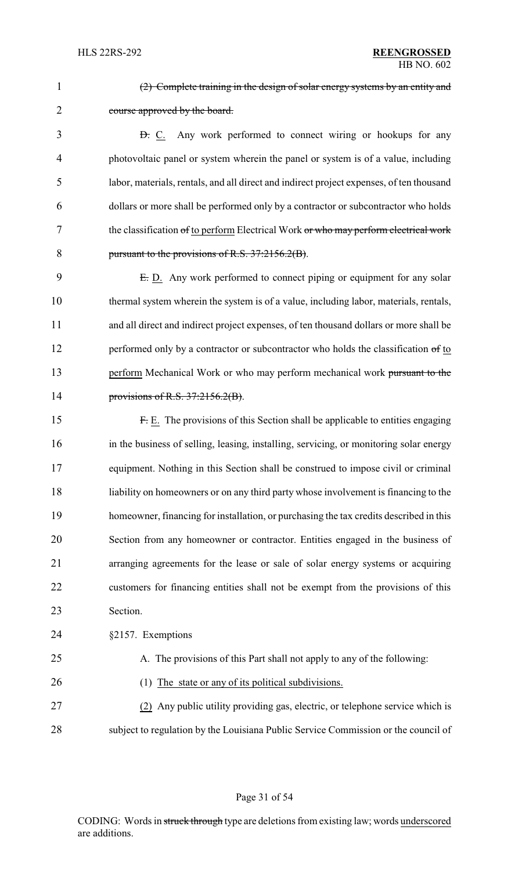2 course approved by the board.

3 <del>D.</del> C. Any work performed to connect wiring or hookups for any 4 photovoltaic panel or system wherein the panel or system is of a value, including 5 labor, materials, rentals, and all direct and indirect project expenses, of ten thousand 6 dollars or more shall be performed only by a contractor or subcontractor who holds 7 the classification of to perform Electrical Work or who may perform electrical work 8 pursuant to the provisions of R.S. 37:2156.2(B).

(2) Complete training in the design of solar energy systems by an entity and

9 E.D. Any work performed to connect piping or equipment for any solar 10 thermal system wherein the system is of a value, including labor, materials, rentals, 11 and all direct and indirect project expenses, of ten thousand dollars or more shall be 12 performed only by a contractor or subcontractor who holds the classification of to 13 perform Mechanical Work or who may perform mechanical work pursuant to the 14 provisions of R.S. 37:2156.2(B).

 F. E. The provisions of this Section shall be applicable to entities engaging in the business of selling, leasing, installing, servicing, or monitoring solar energy equipment. Nothing in this Section shall be construed to impose civil or criminal liability on homeowners or on any third party whose involvement is financing to the homeowner, financing for installation, or purchasing the tax credits described in this Section from any homeowner or contractor. Entities engaged in the business of arranging agreements for the lease or sale of solar energy systems or acquiring customers for financing entities shall not be exempt from the provisions of this 23 Section.

24 §2157. Exemptions

| 25 |  | A. The provisions of this Part shall not apply to any of the following: |  |  |
|----|--|-------------------------------------------------------------------------|--|--|
|----|--|-------------------------------------------------------------------------|--|--|

26 (1) The state or any of its political subdivisions.

27 (2) Any public utility providing gas, electric, or telephone service which is 28 subject to regulation by the Louisiana Public Service Commission or the council of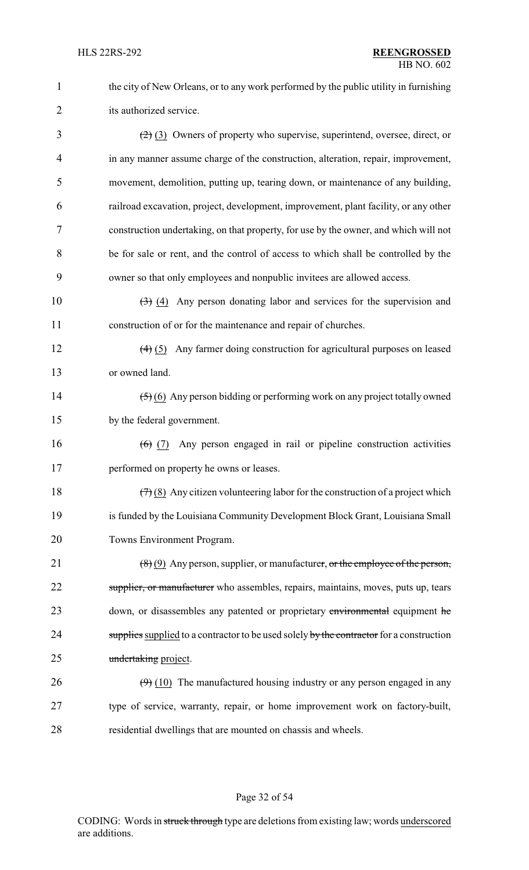| $\mathbf{1}$   | the city of New Orleans, or to any work performed by the public utility in furnishing                |
|----------------|------------------------------------------------------------------------------------------------------|
| $\overline{2}$ | its authorized service.                                                                              |
| 3              | $(2)$ (3) Owners of property who supervise, superintend, oversee, direct, or                         |
| 4              | in any manner assume charge of the construction, alteration, repair, improvement,                    |
| 5              | movement, demolition, putting up, tearing down, or maintenance of any building,                      |
| 6              | railroad excavation, project, development, improvement, plant facility, or any other                 |
| 7              | construction undertaking, on that property, for use by the owner, and which will not                 |
| 8              | be for sale or rent, and the control of access to which shall be controlled by the                   |
| 9              | owner so that only employees and nonpublic invitees are allowed access.                              |
| 10             | $(3)$ (4) Any person donating labor and services for the supervision and                             |
| 11             | construction of or for the maintenance and repair of churches.                                       |
| 12             | $\left(\frac{4}{5}\right)$ Any farmer doing construction for agricultural purposes on leased         |
| 13             | or owned land.                                                                                       |
| 14             | $\left(\frac{5}{2}\right)$ (6) Any person bidding or performing work on any project totally owned    |
| 15             | by the federal government.                                                                           |
| 16             | Any person engaged in rail or pipeline construction activities<br>$(6) (7)$                          |
| 17             | performed on property he owns or leases.                                                             |
| 18             | $(7)(8)$ Any citizen volunteering labor for the construction of a project which                      |
| 19             | is funded by the Louisiana Community Development Block Grant, Louisiana Small                        |
| 20             | Towns Environment Program.                                                                           |
| 21             | $\left(\frac{8}{6}\right)$ (9) Any person, supplier, or manufacturer, or the employee of the person, |
| 22             | supplier, or manufacturer who assembles, repairs, maintains, moves, puts up, tears                   |
| 23             | down, or disassembles any patented or proprietary environmental equipment he                         |
| 24             | supplies supplied to a contractor to be used solely by the contractor for a construction             |
| 25             | undertaking project.                                                                                 |
| 26             | $(9)$ (10) The manufactured housing industry or any person engaged in any                            |
| 27             | type of service, warranty, repair, or home improvement work on factory-built,                        |
| 28             | residential dwellings that are mounted on chassis and wheels.                                        |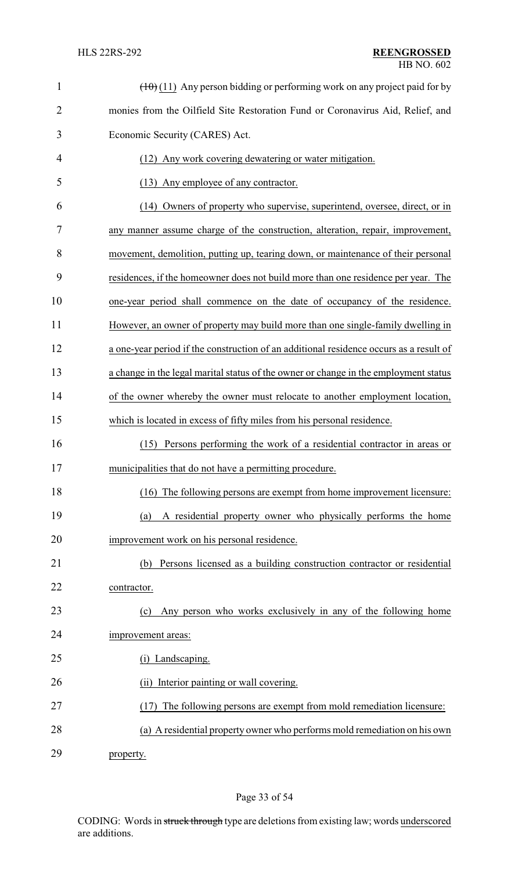| $\mathbf{1}$   | $(\pm 0)$ (11) Any person bidding or performing work on any project paid for by        |
|----------------|----------------------------------------------------------------------------------------|
| $\overline{2}$ | monies from the Oilfield Site Restoration Fund or Coronavirus Aid, Relief, and         |
| 3              | Economic Security (CARES) Act.                                                         |
| 4              | (12) Any work covering dewatering or water mitigation.                                 |
| 5              | (13) Any employee of any contractor.                                                   |
| 6              | (14) Owners of property who supervise, superintend, oversee, direct, or in             |
| 7              | any manner assume charge of the construction, alteration, repair, improvement,         |
| 8              | movement, demolition, putting up, tearing down, or maintenance of their personal       |
| 9              | residences, if the homeowner does not build more than one residence per year. The      |
| 10             | one-year period shall commence on the date of occupancy of the residence.              |
| 11             | However, an owner of property may build more than one single-family dwelling in        |
| 12             | a one-year period if the construction of an additional residence occurs as a result of |
| 13             | a change in the legal marital status of the owner or change in the employment status   |
| 14             | of the owner whereby the owner must relocate to another employment location,           |
| 15             | which is located in excess of fifty miles from his personal residence.                 |
| 16             | (15) Persons performing the work of a residential contractor in areas or               |
| 17             | municipalities that do not have a permitting procedure.                                |
| 18             | The following persons are exempt from home improvement licensure:<br>(16)              |
| 19             | A residential property owner who physically performs the home<br>(a)                   |
| 20             | improvement work on his personal residence.                                            |
| 21             | Persons licensed as a building construction contractor or residential<br>(b)           |
| 22             | contractor.                                                                            |
| 23             | Any person who works exclusively in any of the following home<br>(c)                   |
| 24             | improvement areas:                                                                     |
| 25             | (i) Landscaping.                                                                       |
| 26             | Interior painting or wall covering.<br>(ii)                                            |
| 27             | The following persons are exempt from mold remediation licensure:<br>(17)              |
| 28             | (a) A residential property owner who performs mold remediation on his own              |
| 29             | property.                                                                              |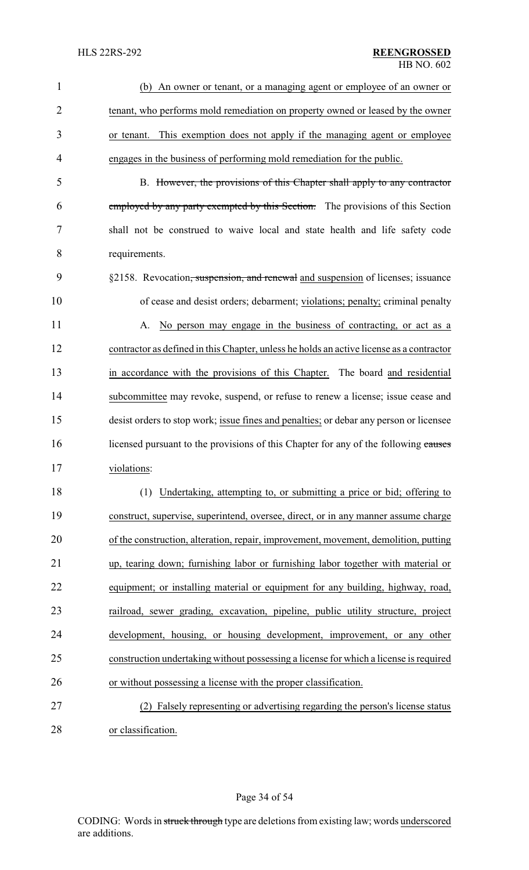| $\mathbf{1}$   | (b) An owner or tenant, or a managing agent or employee of an owner or                      |
|----------------|---------------------------------------------------------------------------------------------|
| $\overline{2}$ | tenant, who performs mold remediation on property owned or leased by the owner              |
| 3              | or tenant. This exemption does not apply if the managing agent or employee                  |
| 4              | engages in the business of performing mold remediation for the public.                      |
| 5              | B. However, the provisions of this Chapter shall apply to any contractor                    |
| 6              | employed by any party exempted by this Section. The provisions of this Section              |
| 7              | shall not be construed to waive local and state health and life safety code                 |
| 8              | requirements.                                                                               |
| 9              | §2158. Revocation <del>, suspension, and renewal</del> and suspension of licenses; issuance |
| 10             | of cease and desist orders; debarment; violations; penalty; criminal penalty                |
| 11             | No person may engage in the business of contracting, or act as a<br>А.                      |
| 12             | contractor as defined in this Chapter, unless he holds an active license as a contractor    |
| 13             | in accordance with the provisions of this Chapter. The board and residential                |
| 14             | subcommittee may revoke, suspend, or refuse to renew a license; issue cease and             |
| 15             | desist orders to stop work; issue fines and penalties; or debar any person or licensee      |
| 16             | licensed pursuant to the provisions of this Chapter for any of the following causes         |
| 17             | violations:                                                                                 |
| 18             | (1) Undertaking, attempting to, or submitting a price or bid; offering to                   |
| 19             | construct, supervise, superintend, oversee, direct, or in any manner assume charge          |
| 20             | of the construction, alteration, repair, improvement, movement, demolition, putting         |
| 21             | up, tearing down; furnishing labor or furnishing labor together with material or            |
| 22             | equipment; or installing material or equipment for any building, highway, road,             |
| 23             | railroad, sewer grading, excavation, pipeline, public utility structure, project            |
| 24             | development, housing, or housing development, improvement, or any other                     |
| 25             | construction undertaking without possessing a license for which a license is required       |
| 26             | or without possessing a license with the proper classification.                             |
| 27             | Falsely representing or advertising regarding the person's license status<br>(2)            |
| 28             | or classification.                                                                          |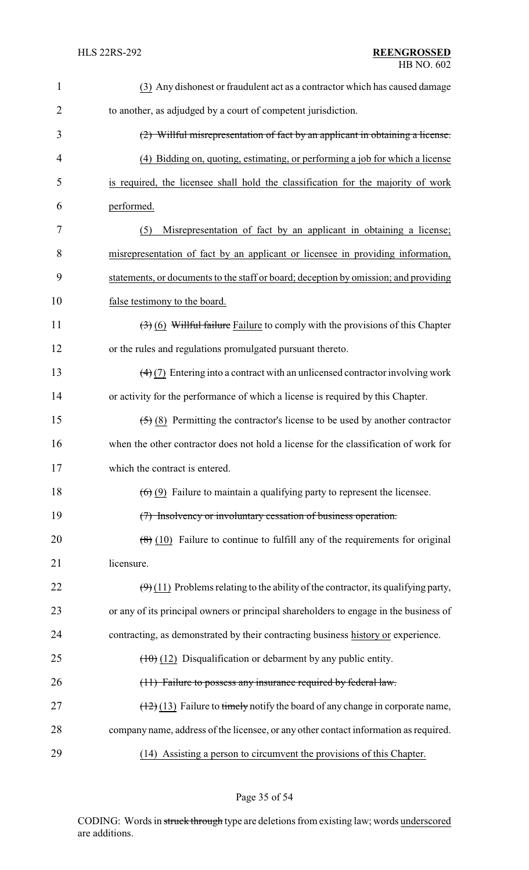| $\mathbf{1}$   | (3) Any dishonest or fraudulent act as a contractor which has caused damage                         |
|----------------|-----------------------------------------------------------------------------------------------------|
| $\overline{2}$ | to another, as adjudged by a court of competent jurisdiction.                                       |
| 3              | $(2)$ Willful misrepresentation of fact by an applicant in obtaining a license.                     |
| $\overline{4}$ | (4) Bidding on, quoting, estimating, or performing a job for which a license                        |
| 5              | is required, the licensee shall hold the classification for the majority of work                    |
| 6              | performed.                                                                                          |
| 7              | Misrepresentation of fact by an applicant in obtaining a license;<br>(5)                            |
| 8              | misrepresentation of fact by an applicant or licensee in providing information,                     |
| 9              | statements, or documents to the staff or board; deception by omission; and providing                |
| 10             | false testimony to the board.                                                                       |
| 11             | $(3)$ (6) Willful failure Failure to comply with the provisions of this Chapter                     |
| 12             | or the rules and regulations promulgated pursuant thereto.                                          |
| 13             | $\left(\frac{4}{2}\right)$ Entering into a contract with an unlicensed contractor involving work    |
| 14             | or activity for the performance of which a license is required by this Chapter.                     |
| 15             | $\left(\frac{5}{5}\right)$ (8) Permitting the contractor's license to be used by another contractor |
| 16             | when the other contractor does not hold a license for the classification of work for                |
| 17             | which the contract is entered.                                                                      |
| 18             | $(6)$ (9) Failure to maintain a qualifying party to represent the licensee.                         |
| 19             | (7) Insolvency or involuntary cessation of business operation.                                      |
| 20             | $\left(\frac{8}{6}\right)$ (10) Failure to continue to fulfill any of the requirements for original |
| 21             | licensure.                                                                                          |
| 22             | $(\Theta)$ (11) Problems relating to the ability of the contractor, its qualifying party,           |
| 23             | or any of its principal owners or principal shareholders to engage in the business of               |
| 24             | contracting, as demonstrated by their contracting business history or experience.                   |
| 25             | $(10)$ (12) Disqualification or debarment by any public entity.                                     |
| 26             | (11) Failure to possess any insurance required by federal law.                                      |
| 27             | $(12)(13)$ Failure to timely notify the board of any change in corporate name,                      |
| 28             | company name, address of the licensee, or any other contact information as required.                |
| 29             | (14) Assisting a person to circumvent the provisions of this Chapter.                               |

Page 35 of 54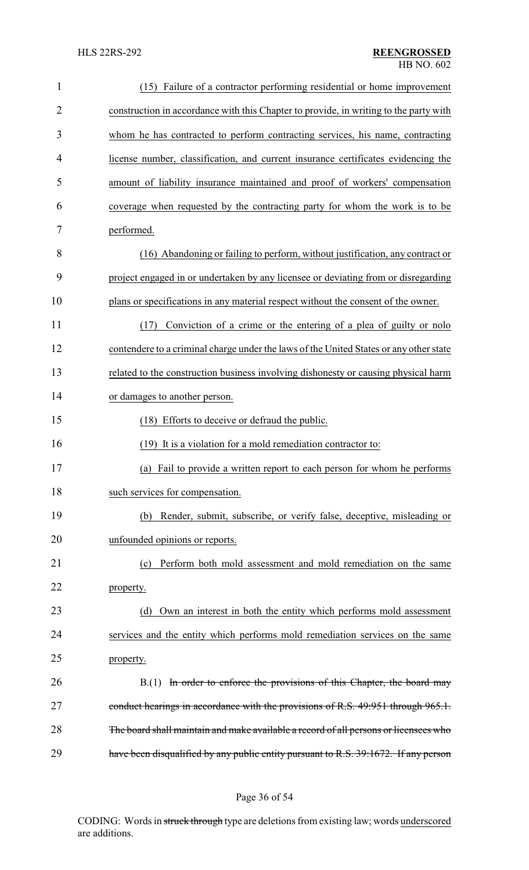| $\mathbf{1}$   | (15) Failure of a contractor performing residential or home improvement                |
|----------------|----------------------------------------------------------------------------------------|
| $\overline{2}$ | construction in accordance with this Chapter to provide, in writing to the party with  |
| 3              | whom he has contracted to perform contracting services, his name, contracting          |
| $\overline{4}$ | license number, classification, and current insurance certificates evidencing the      |
| 5              | amount of liability insurance maintained and proof of workers' compensation            |
| 6              | coverage when requested by the contracting party for whom the work is to be            |
| 7              | performed.                                                                             |
| 8              | (16) Abandoning or failing to perform, without justification, any contract or          |
| 9              | project engaged in or undertaken by any licensee or deviating from or disregarding     |
| 10             | plans or specifications in any material respect without the consent of the owner.      |
| 11             | Conviction of a crime or the entering of a plea of guilty or nolo<br>(17)              |
| 12             | contendere to a criminal charge under the laws of the United States or any other state |
| 13             | related to the construction business involving dishonesty or causing physical harm     |
| 14             | or damages to another person.                                                          |
| 15             | (18) Efforts to deceive or defraud the public.                                         |
| 16             | (19) It is a violation for a mold remediation contractor to:                           |
| 17             | (a) Fail to provide a written report to each person for whom he performs               |
| 18             | such services for compensation.                                                        |
| 19             | Render, submit, subscribe, or verify false, deceptive, misleading or<br>(b)            |
| 20             | unfounded opinions or reports.                                                         |
| 21             | Perform both mold assessment and mold remediation on the same<br>(c)                   |
| 22             | property.                                                                              |
| 23             | Own an interest in both the entity which performs mold assessment<br>(d)               |
| 24             | services and the entity which performs mold remediation services on the same           |
| 25             | property.                                                                              |
| 26             | B.(1) In order to enforce the provisions of this Chapter, the board may                |
| 27             | conduct hearings in accordance with the provisions of R.S. 49:951 through 965.1.       |
| 28             | The board shall maintain and make available a record of all persons or licensees who   |
| 29             | have been disqualified by any public entity pursuant to R.S. 39:1672. If any person    |

# Page 36 of 54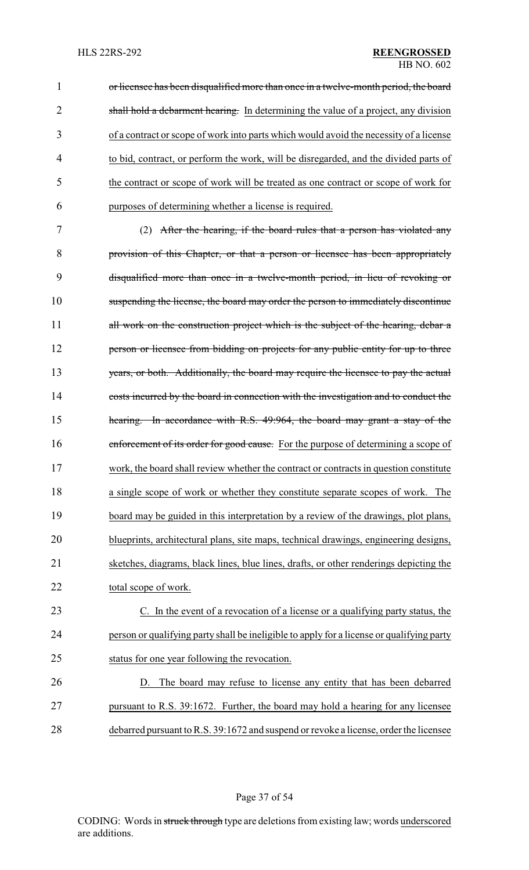1 or licensee has been disqualified more than once in a twelve-month period, the board 2 shall hold a debarment hearing. In determining the value of a project, any division of a contract or scope of work into parts which would avoid the necessity of a license to bid, contract, or perform the work, will be disregarded, and the divided parts of the contract or scope of work will be treated as one contract or scope of work for purposes of determining whether a license is required.

 (2) After the hearing, if the board rules that a person has violated any provision of this Chapter, or that a person or licensee has been appropriately disqualified more than once in a twelve-month period, in lieu of revoking or suspending the license, the board may order the person to immediately discontinue 11 all work on the construction project which is the subject of the hearing, debar a **person or licensee from bidding on projects for any public entity for up to three** 13 years, or both. Additionally, the board may require the licensee to pay the actual costs incurred by the board in connection with the investigation and to conduct the hearing. In accordance with R.S. 49:964, the board may grant a stay of the 16 enforcement of its order for good cause. For the purpose of determining a scope of work, the board shall review whether the contract or contracts in question constitute a single scope of work or whether they constitute separate scopes of work. The board may be guided in this interpretation by a review of the drawings, plot plans, blueprints, architectural plans, site maps, technical drawings, engineering designs, sketches, diagrams, black lines, blue lines, drafts, or other renderings depicting the total scope of work.

 C. In the event of a revocation of a license or a qualifying party status, the person or qualifying party shall be ineligible to apply for a license or qualifying party status for one year following the revocation.

 D. The board may refuse to license any entity that has been debarred pursuant to R.S. 39:1672. Further, the board may hold a hearing for any licensee debarred pursuant to R.S. 39:1672 and suspend or revoke a license, order the licensee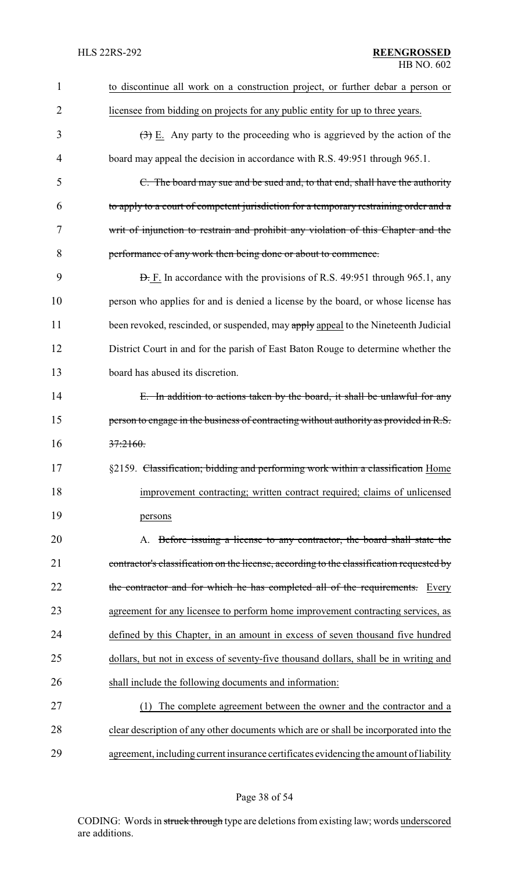| 1              | to discontinue all work on a construction project, or further debar a person or                 |
|----------------|-------------------------------------------------------------------------------------------------|
| $\overline{2}$ | licensee from bidding on projects for any public entity for up to three years.                  |
| 3              | $\left(\frac{1}{2}\right)$ E. Any party to the proceeding who is aggrieved by the action of the |
| 4              | board may appeal the decision in accordance with R.S. 49:951 through 965.1.                     |
| 5              | C. The board may sue and be sued and, to that end, shall have the authority                     |
| 6              | to apply to a court of competent jurisdiction for a temporary restraining order and a           |
| 7              | writ of injunction to restrain and prohibit any violation of this Chapter and the               |
| 8              | performance of any work then being done or about to commence.                                   |
| 9              | <b>D.</b> F. In accordance with the provisions of R.S. 49:951 through 965.1, any                |
| 10             | person who applies for and is denied a license by the board, or whose license has               |
| 11             | been revoked, rescinded, or suspended, may apply appeal to the Nineteenth Judicial              |
| 12             | District Court in and for the parish of East Baton Rouge to determine whether the               |
| 13             | board has abused its discretion.                                                                |
| 14             | E. In addition to actions taken by the board, it shall be unlawful for any                      |
| 15             | person to engage in the business of contracting without authority as provided in R.S.           |
| 16             | 37:2160.                                                                                        |
| 17             | §2159. Classification; bidding and performing work within a classification Home                 |
| 18             | improvement contracting; written contract required; claims of unlicensed                        |
| 19             | persons                                                                                         |
| 20             | A. Before issuing a license to any contractor, the board shall state the                        |
| 21             | contractor's classification on the license, according to the classification requested by        |
| 22             | the contractor and for which he has completed all of the requirements.<br>Every                 |
| 23             | agreement for any licensee to perform home improvement contracting services, as                 |
| 24             | defined by this Chapter, in an amount in excess of seven thousand five hundred                  |
| 25             | dollars, but not in excess of seventy-five thousand dollars, shall be in writing and            |
| 26             | shall include the following documents and information:                                          |
| 27             | The complete agreement between the owner and the contractor and a<br>(1)                        |
| 28             | clear description of any other documents which are or shall be incorporated into the            |
| 29             | agreement, including current insurance certificates evidencing the amount of liability          |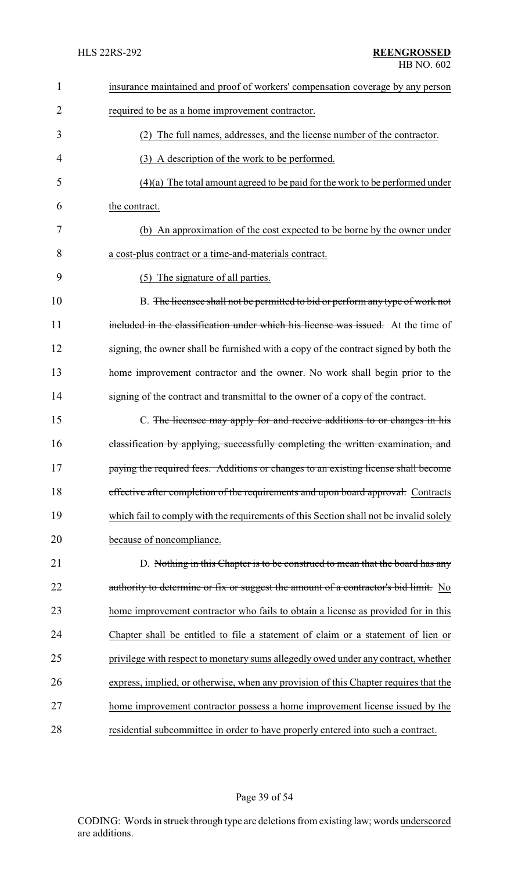| 1              | insurance maintained and proof of workers' compensation coverage by any person         |
|----------------|----------------------------------------------------------------------------------------|
| $\overline{2}$ | required to be as a home improvement contractor.                                       |
| 3              | (2) The full names, addresses, and the license number of the contractor.               |
| 4              | (3) A description of the work to be performed.                                         |
| 5              | $(4)(a)$ The total amount agreed to be paid for the work to be performed under         |
| 6              | the contract.                                                                          |
| 7              | (b) An approximation of the cost expected to be borne by the owner under               |
| 8              | a cost-plus contract or a time-and-materials contract.                                 |
| 9              | The signature of all parties.<br>(5)                                                   |
| 10             | B. The licensee shall not be permitted to bid or perform any type of work not          |
| 11             | included in the classification under which his license was issued. At the time of      |
| 12             | signing, the owner shall be furnished with a copy of the contract signed by both the   |
| 13             | home improvement contractor and the owner. No work shall begin prior to the            |
| 14             | signing of the contract and transmittal to the owner of a copy of the contract.        |
| 15             | C. The licensee may apply for and receive additions to or changes in his               |
| 16             | classification by applying, successfully completing the written examination, and       |
| 17             | paying the required fees. Additions or changes to an existing license shall become     |
| 18             | effective after completion of the requirements and upon board approval. Contracts      |
| 19             | which fail to comply with the requirements of this Section shall not be invalid solely |
| 20             | because of noncompliance.                                                              |
| 21             | D. Nothing in this Chapter is to be construed to mean that the board has any           |
| 22             | authority to determine or fix or suggest the amount of a contractor's bid limit. No    |
| 23             | home improvement contractor who fails to obtain a license as provided for in this      |
| 24             | Chapter shall be entitled to file a statement of claim or a statement of lien or       |
| 25             | privilege with respect to monetary sums allegedly owed under any contract, whether     |
| 26             | express, implied, or otherwise, when any provision of this Chapter requires that the   |
| 27             | home improvement contractor possess a home improvement license issued by the           |
| 28             | residential subcommittee in order to have properly entered into such a contract.       |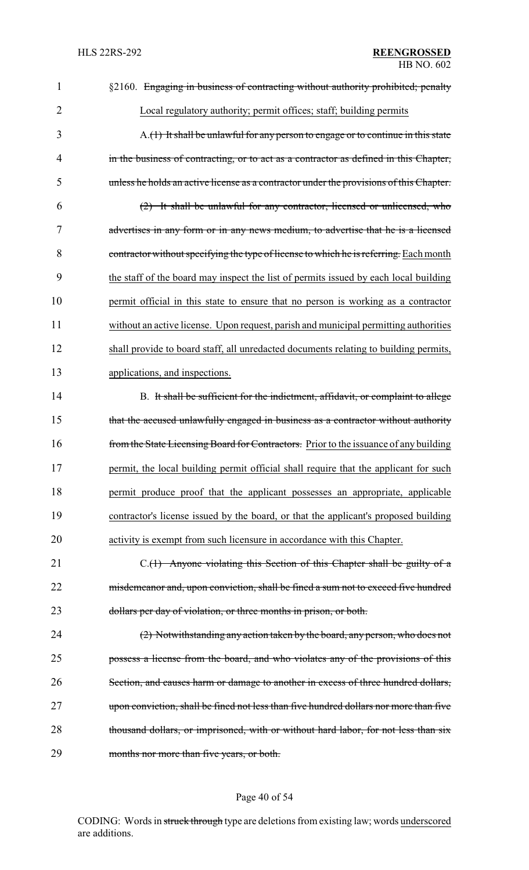| 1              | §2160. Engaging in business of contracting without authority prohibited; penalty          |
|----------------|-------------------------------------------------------------------------------------------|
| $\overline{2}$ | Local regulatory authority; permit offices; staff; building permits                       |
| 3              | $A_{\cdot}(1)$ It shall be unlawful for any person to engage or to continue in this state |
| 4              | in the business of contracting, or to act as a contractor as defined in this Chapter,     |
| 5              | unless he holds an active license as a contractor under the provisions of this Chapter.   |
| 6              | (2) It shall be unlawful for any contractor, licensed or unlicensed, who                  |
| 7              | advertises in any form or in any news medium, to advertise that he is a licensed          |
| 8              | contractor without specifying the type of license to which he is referring. Each month    |
| 9              | the staff of the board may inspect the list of permits issued by each local building      |
| 10             | permit official in this state to ensure that no person is working as a contractor         |
| 11             | without an active license. Upon request, parish and municipal permitting authorities      |
| 12             | shall provide to board staff, all unredacted documents relating to building permits,      |
| 13             | applications, and inspections.                                                            |
| 14             | B. It shall be sufficient for the indictment, affidavit, or complaint to allege           |
| 15             | that the accused unlawfully engaged in business as a contractor without authority         |
| 16             | from the State Licensing Board for Contractors. Prior to the issuance of any building     |
| 17             | permit, the local building permit official shall require that the applicant for such      |
| 18             | permit produce proof that the applicant possesses an appropriate, applicable              |
| 19             | contractor's license issued by the board, or that the applicant's proposed building       |
| 20             | activity is exempt from such licensure in accordance with this Chapter.                   |
| 21             | C.(1) Anyone violating this Section of this Chapter shall be guilty of a                  |
| 22             | misdemeanor and, upon conviction, shall be fined a sum not to exceed five hundred         |
| 23             | dollars per day of violation, or three months in prison, or both.                         |
| 24             | (2) Notwithstanding any action taken by the board, any person, who does not               |
| 25             | possess a license from the board, and who violates any of the provisions of this          |
| 26             | Section, and causes harm or damage to another in excess of three hundred dollars,         |
| 27             | upon conviction, shall be fined not less than five hundred dollars nor more than five     |
| 28             | thousand dollars, or imprisoned, with or without hard labor, for not less than six        |
| 29             | months nor more than five years, or both.                                                 |

# Page 40 of 54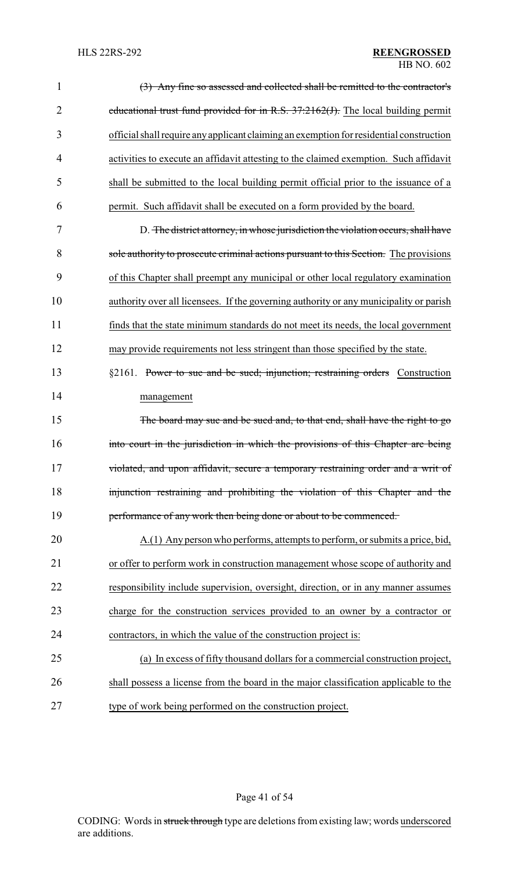### HLS 22RS-292 **REENGROSSED** HB NO. 602

| $\mathbf 1$    | (3) Any fine so assessed and collected shall be remitted to the contractor's            |
|----------------|-----------------------------------------------------------------------------------------|
| $\overline{2}$ | educational trust fund provided for in R.S. 37:2162(J). The local building permit       |
| 3              | official shall require any applicant claiming an exemption for residential construction |
| 4              | activities to execute an affidavit attesting to the claimed exemption. Such affidavit   |
| 5              | shall be submitted to the local building permit official prior to the issuance of a     |
| 6              | permit. Such affidavit shall be executed on a form provided by the board.               |
| 7              | D. The district attorney, in whose jurisdiction the violation occurs, shall have        |
| 8              | sole authority to prosecute criminal actions pursuant to this Section. The provisions   |
| 9              | of this Chapter shall preempt any municipal or other local regulatory examination       |
| 10             | authority over all licensees. If the governing authority or any municipality or parish  |
| 11             | finds that the state minimum standards do not meet its needs, the local government      |
| 12             | may provide requirements not less stringent than those specified by the state.          |
| 13             | §2161. Power to sue and be sued; injunction; restraining orders Construction            |
| 14             | management                                                                              |
| 15             | The board may sue and be sued and, to that end, shall have the right to go              |
| 16             | into court in the jurisdiction in which the provisions of this Chapter are being        |
| 17             | violated, and upon affidavit, secure a temporary restraining order and a writ of        |
| 18             | injunction restraining and prohibiting the violation of this Chapter and the            |
| 19             | performance of any work then being done or about to be commenced.                       |
| 20             | A.(1) Any person who performs, attempts to perform, or submits a price, bid,            |
| 21             | or offer to perform work in construction management whose scope of authority and        |
| 22             | responsibility include supervision, oversight, direction, or in any manner assumes      |
| 23             | charge for the construction services provided to an owner by a contractor or            |
| 24             | contractors, in which the value of the construction project is:                         |
| 25             | (a) In excess of fifty thousand dollars for a commercial construction project,          |
| 26             | shall possess a license from the board in the major classification applicable to the    |
| 27             | type of work being performed on the construction project.                               |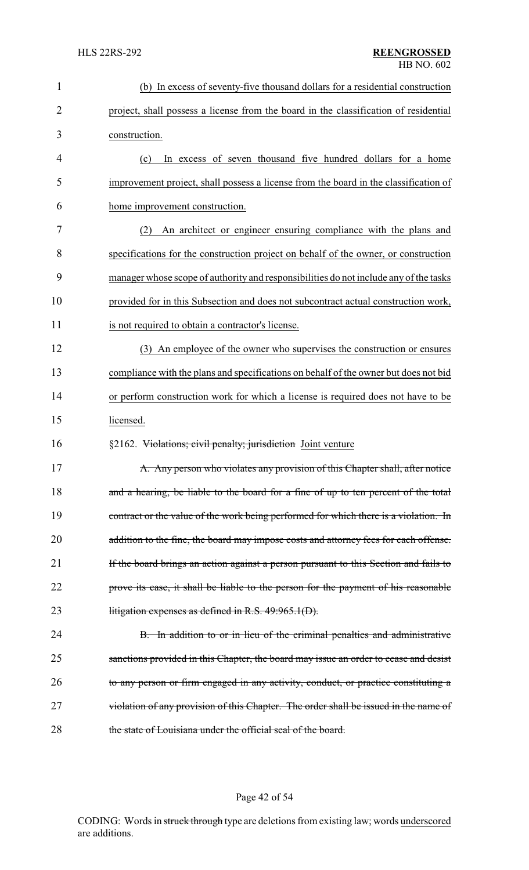| $\mathbf{1}$   | (b) In excess of seventy-five thousand dollars for a residential construction         |
|----------------|---------------------------------------------------------------------------------------|
| $\overline{2}$ | project, shall possess a license from the board in the classification of residential  |
| 3              | construction.                                                                         |
| 4              | In excess of seven thousand five hundred dollars for a home<br>(c)                    |
| 5              | improvement project, shall possess a license from the board in the classification of  |
| 6              | home improvement construction.                                                        |
| 7              | An architect or engineer ensuring compliance with the plans and<br>(2)                |
| 8              | specifications for the construction project on behalf of the owner, or construction   |
| 9              | manager whose scope of authority and responsibilities do not include any of the tasks |
| 10             | provided for in this Subsection and does not subcontract actual construction work,    |
| 11             | is not required to obtain a contractor's license.                                     |
| 12             | (3) An employee of the owner who supervises the construction or ensures               |
| 13             | compliance with the plans and specifications on behalf of the owner but does not bid  |
| 14             | or perform construction work for which a license is required does not have to be      |
| 15             | licensed.                                                                             |
| 16             | §2162. Violations; civil penalty; jurisdiction Joint venture                          |
| 17             | A. Any person who violates any provision of this Chapter shall, after notice          |
| 18             | and a hearing, be liable to the board for a fine of up to ten percent of the total    |
| 19             | contract or the value of the work being performed for which there is a violation. In  |
| 20             | addition to the fine, the board may impose costs and attorney fees for each offense.  |
| 21             | If the board brings an action against a person pursuant to this Section and fails to  |
| 22             | prove its case, it shall be liable to the person for the payment of his reasonable    |
| 23             | litigation expenses as defined in R.S. $49:965.1(D)$ .                                |
| 24             | B. In addition to or in lieu of the criminal penalties and administrative             |
| 25             | sanctions provided in this Chapter, the board may issue an order to cease and desist  |
| 26             | to any person or firm engaged in any activity, conduct, or practice constituting a    |
| 27             | violation of any provision of this Chapter. The order shall be issued in the name of  |
| 28             | the state of Louisiana under the official seal of the board.                          |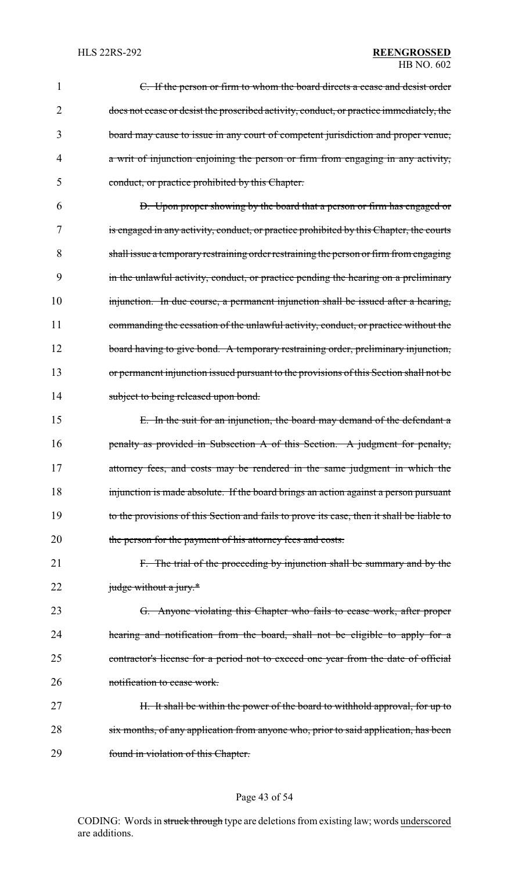### HLS 22RS-292 **REENGROSSED** HB NO. 602

| 1  | C. If the person or firm to whom the board directs a cease and desist order               |
|----|-------------------------------------------------------------------------------------------|
| 2  | does not cease or desist the proscribed activity, conduct, or practice immediately, the   |
| 3  | board may cause to issue in any court of competent jurisdiction and proper venue,         |
| 4  | a writ of injunction enjoining the person or firm from engaging in any activity,          |
| 5  | conduct, or practice prohibited by this Chapter.                                          |
| 6  | D. Upon proper showing by the board that a person or firm has engaged or                  |
| 7  | is engaged in any activity, conduct, or practice prohibited by this Chapter, the courts   |
| 8  | shall issue a temporary restraining order restraining the person or firm from engaging    |
| 9  | in the unlawful activity, conduct, or practice pending the hearing on a preliminary       |
| 10 | injunction. In due course, a permanent injunction shall be issued after a hearing,        |
| 11 | commanding the cessation of the unlawful activity, conduct, or practice without the       |
| 12 | board having to give bond. A temporary restraining order, preliminary injunction,         |
| 13 | or permanent injunction issued pursuant to the provisions of this Section shall not be    |
| 14 | subject to being released upon bond.                                                      |
| 15 | E. In the suit for an injunction, the board may demand of the defendant a                 |
| 16 | penalty as provided in Subsection A of this Section. A judgment for penalty,              |
| 17 | attorney fees, and costs may be rendered in the same judgment in which the                |
| 18 | injunction is made absolute. If the board brings an action against a person pursuant      |
| 19 | to the provisions of this Section and fails to prove its case, then it shall be liable to |
| 20 | the person for the payment of his attorney fees and costs.                                |
| 21 | F. The trial of the proceeding by injunction shall be summary and by the                  |
| 22 | judge without a jury.*                                                                    |
| 23 | G. Anyone violating this Chapter who fails to cease work, after proper                    |
| 24 | hearing and notification from the board, shall not be eligible to apply for a             |
| 25 | contractor's license for a period not to exceed one year from the date of official        |
| 26 | notification to cease work.                                                               |
| 27 | H. It shall be within the power of the board to withhold approval, for up to              |
| 28 | six months, of any application from anyone who, prior to said application, has been       |
| 29 | found in violation of this Chapter.                                                       |

# Page 43 of 54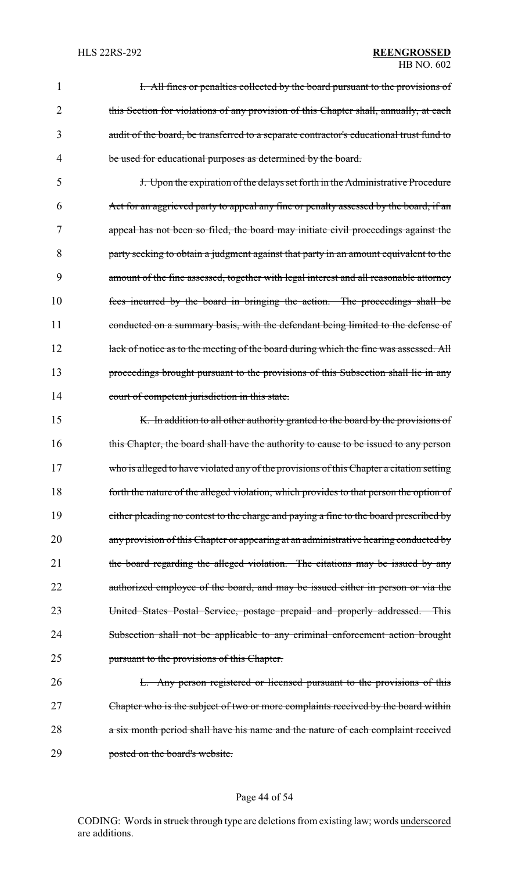#### HLS 22RS-292 **REENGROSSED** HB NO. 602

|   | I. All fines or penalties collected by the board pursuant to the provisions of          |
|---|-----------------------------------------------------------------------------------------|
|   | this Section for violations of any provision of this Chapter shall, annually, at each   |
|   | audit of the board, be transferred to a separate contractor's educational trust fund to |
| 4 | be used for educational purposes as determined by the board.                            |

5 J. Upon the expiration of the delays set forth in the Administrative Procedure 6 Act for an aggrieved party to appeal any fine or penalty assessed by the board, if an 7 appeal has not been so filed, the board may initiate civil proceedings against the 8 party seeking to obtain a judgment against that party in an amount equivalent to the 9 amount of the fine assessed, together with legal interest and all reasonable attorney 10 fees incurred by the board in bringing the action. The proceedings shall be 11 conducted on a summary basis, with the defendant being limited to the defense of 12 lack of notice as to the meeting of the board during which the fine was assessed. All 13 proceedings brought pursuant to the provisions of this Subsection shall lie in any 14 court of competent jurisdiction in this state.

15 K. In addition to all other authority granted to the board by the provisions of 16 this Chapter, the board shall have the authority to cause to be issued to any person 17 who is alleged to have violated any of the provisions of this Chapter a citation setting 18 forth the nature of the alleged violation, which provides to that person the option of 19 either pleading no contest to the charge and paying a fine to the board prescribed by 20 any provision of this Chapter or appearing at an administrative hearing conducted by 21 the board regarding the alleged violation. The citations may be issued by any 22 authorized employee of the board, and may be issued either in person or via the 23 United States Postal Service, postage prepaid and properly addressed. This 24 Subsection shall not be applicable to any criminal enforcement action brought 25 pursuant to the provisions of this Chapter.

26 L. Any person registered or licensed pursuant to the provisions of this 27 Chapter who is the subject of two or more complaints received by the board within 28 a six month period shall have his name and the nature of each complaint received 29 posted on the board's website.

#### Page 44 of 54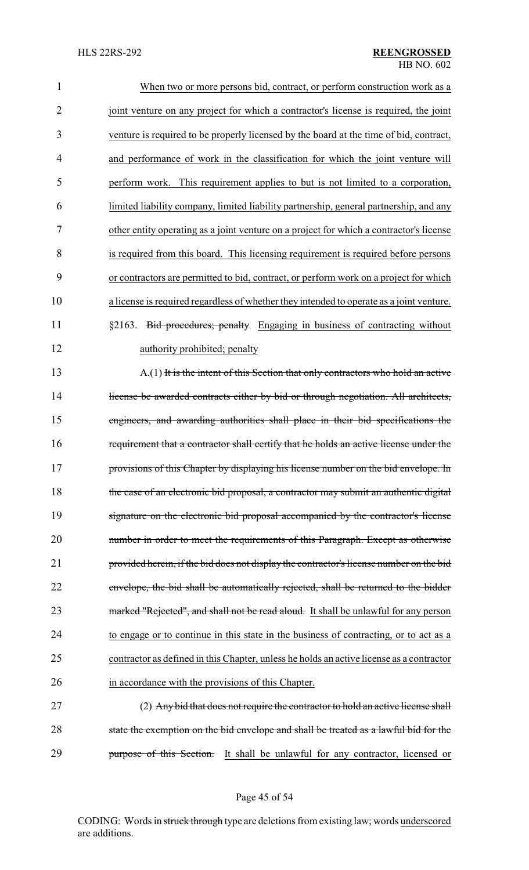| $\mathbf{1}$   | When two or more persons bid, contract, or perform construction work as a                |
|----------------|------------------------------------------------------------------------------------------|
| $\overline{2}$ | joint venture on any project for which a contractor's license is required, the joint     |
| 3              | venture is required to be properly licensed by the board at the time of bid, contract,   |
| 4              | and performance of work in the classification for which the joint venture will           |
| 5              | perform work. This requirement applies to but is not limited to a corporation,           |
| 6              | limited liability company, limited liability partnership, general partnership, and any   |
| 7              | other entity operating as a joint venture on a project for which a contractor's license  |
| 8              | is required from this board. This licensing requirement is required before persons       |
| 9              | or contractors are permitted to bid, contract, or perform work on a project for which    |
| 10             | a license is required regardless of whether they intended to operate as a joint venture. |
| 11             | §2163. Bid procedures; penalty Engaging in business of contracting without               |
| 12             | authority prohibited; penalty                                                            |
| 13             | A.(1) It is the intent of this Section that only contractors who hold an active          |
| 14             | license be awarded contracts either by bid or through negotiation. All architects,       |
| 15             | engineers, and awarding authorities shall place in their bid specifications the          |
| 16             | requirement that a contractor shall certify that he holds an active license under the    |
| 17             | provisions of this Chapter by displaying his license number on the bid envelope. In      |
| 18             | the case of an electronic bid proposal, a contractor may submit an authentic digital     |
| 19             | signature on the electronic bid proposal accompanied by the contractor's license         |
| 20             | number in order to meet the requirements of this Paragraph. Except as otherwise          |
| 21             | provided herein, if the bid does not display the contractor's license number on the bid  |
| 22             | envelope, the bid shall be automatically rejected, shall be returned to the bidder       |
| 23             | marked "Rejected", and shall not be read aloud. It shall be unlawful for any person      |
| 24             | to engage or to continue in this state in the business of contracting, or to act as a    |
| 25             | contractor as defined in this Chapter, unless he holds an active license as a contractor |
| 26             | in accordance with the provisions of this Chapter.                                       |
| 27             | (2) Any bid that does not require the contractor to hold an active license shall         |
| 28             | state the exemption on the bid envelope and shall be treated as a lawful bid for the     |
| 29             | purpose of this Section. It shall be unlawful for any contractor, licensed or            |

Page 45 of 54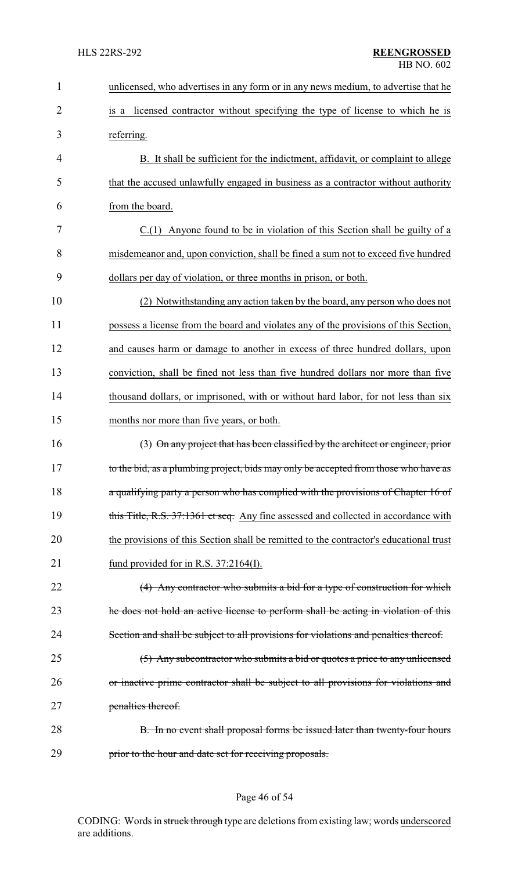| $\mathbf{1}$   | unlicensed, who advertises in any form or in any news medium, to advertise that he     |
|----------------|----------------------------------------------------------------------------------------|
| $\overline{2}$ | licensed contractor without specifying the type of license to which he is<br>is a      |
| 3              | referring.                                                                             |
| 4              | B. It shall be sufficient for the indictment, affidavit, or complaint to allege        |
| 5              | that the accused unlawfully engaged in business as a contractor without authority      |
| 6              | from the board.                                                                        |
| 7              | C.(1) Anyone found to be in violation of this Section shall be guilty of a             |
| 8              | misdemeanor and, upon conviction, shall be fined a sum not to exceed five hundred      |
| 9              | dollars per day of violation, or three months in prison, or both.                      |
| 10             | (2) Notwithstanding any action taken by the board, any person who does not             |
| 11             | possess a license from the board and violates any of the provisions of this Section,   |
| 12             | and causes harm or damage to another in excess of three hundred dollars, upon          |
| 13             | conviction, shall be fined not less than five hundred dollars nor more than five       |
| 14             | thousand dollars, or imprisoned, with or without hard labor, for not less than six     |
| 15             | months nor more than five years, or both.                                              |
| 16             | (3) On any project that has been classified by the architect or engineer, prior        |
| 17             | to the bid, as a plumbing project, bids may only be accepted from those who have as    |
| 18             | a qualifying party a person who has complied with the provisions of Chapter 16 of      |
| 19             | this Title, R.S. 37:1361 et seq. Any fine assessed and collected in accordance with    |
| 20             | the provisions of this Section shall be remitted to the contractor's educational trust |
| 21             | fund provided for in R.S. $37:2164(I)$ .                                               |
| 22             | (4) Any contractor who submits a bid for a type of construction for which              |
| 23             | the does not hold an active license to perform shall be acting in violation of this    |
| 24             | Section and shall be subject to all provisions for violations and penalties thereof.   |
| 25             | (5) Any subcontractor who submits a bid or quotes a price to any unlicensed            |
| 26             | or inactive prime contractor shall be subject to all provisions for violations and     |
| 27             | penalties thereof.                                                                     |
| 28             | B. In no event shall proposal forms be issued later than twenty-four hours             |
| 29             | prior to the hour and date set for receiving proposals.                                |

# Page 46 of 54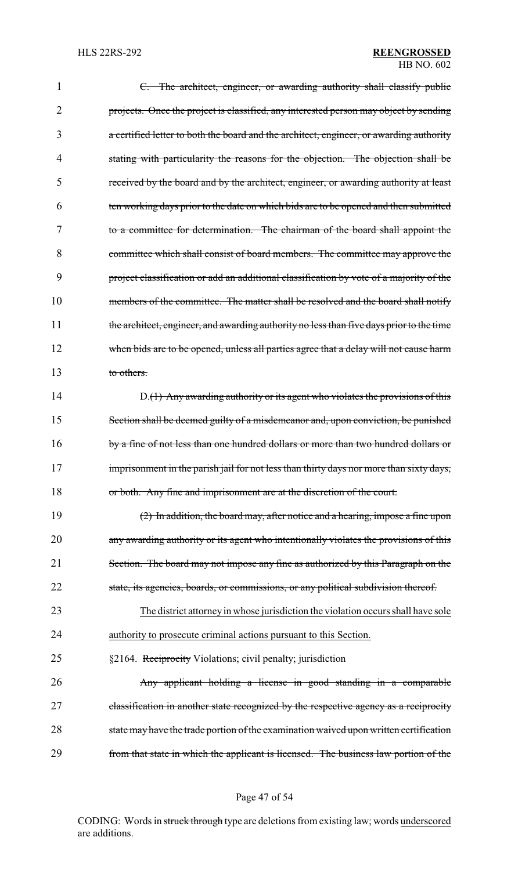| 1  | C. The architect, engineer, or awarding authority shall classify public                  |
|----|------------------------------------------------------------------------------------------|
| 2  | projects. Once the project is classified, any interested person may object by sending    |
| 3  | a certified letter to both the board and the architect, engineer, or awarding authority  |
| 4  | stating with particularity the reasons for the objection. The objection shall be         |
| 5  | received by the board and by the architect, engineer, or awarding authority at least     |
| 6  | ten working days prior to the date on which bids are to be opened and then submitted     |
| 7  | to a committee for determination. The chairman of the board shall appoint the            |
| 8  | committee which shall consist of board members. The committee may approve the            |
| 9  | project classification or add an additional classification by vote of a majority of the  |
| 10 | members of the committee. The matter shall be resolved and the board shall notify        |
| 11 | the architect, engineer, and awarding authority no less than five days prior to the time |
| 12 | when bids are to be opened, unless all parties agree that a delay will not cause harm    |
| 13 | to others.                                                                               |
| 14 | $D1(1)$ Any awarding authority or its agent who violates the provisions of this          |
| 15 | Section shall be deemed guilty of a misdemeanor and, upon conviction, be punished        |
| 16 | by a fine of not less than one hundred dollars or more than two hundred dollars or       |
| 17 | imprisonment in the parish jail for not less than thirty days nor more than sixty days,  |
| 18 | or both. Any fine and imprisonment are at the discretion of the court.                   |
| 19 | $(2)$ In addition, the board may, after notice and a hearing, impose a fine upon         |
| 20 | any awarding authority or its agent who intentionally violates the provisions of this    |
| 21 | Section. The board may not impose any fine as authorized by this Paragraph on the        |
| 22 | state, its agencies, boards, or commissions, or any political subdivision thereof.       |
| 23 | The district attorney in whose jurisdiction the violation occurs shall have sole         |
| 24 | authority to prosecute criminal actions pursuant to this Section.                        |
| 25 | §2164. Reciprocity Violations; civil penalty; jurisdiction                               |
| 26 | Any applicant holding a license in good standing in a comparable                         |
| 27 | classification in another state recognized by the respective agency as a reciprocity     |
| 28 | state may have the trade portion of the examination waived upon written certification    |
| 29 | from that state in which the applicant is licensed. The business law portion of the      |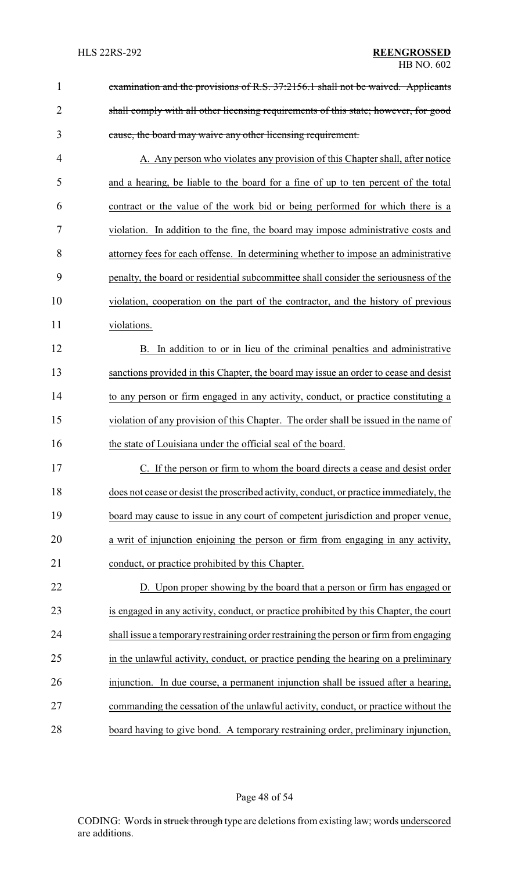| $\mathbf{1}$   | examination and the provisions of R.S. 37:2156.1 shall not be waived. Applicants        |  |
|----------------|-----------------------------------------------------------------------------------------|--|
| $\overline{2}$ | shall comply with all other licensing requirements of this state; however, for good     |  |
| 3              | cause, the board may waive any other licensing requirement.                             |  |
| 4              | A. Any person who violates any provision of this Chapter shall, after notice            |  |
| 5              | and a hearing, be liable to the board for a fine of up to ten percent of the total      |  |
| 6              | contract or the value of the work bid or being performed for which there is a           |  |
| 7              | violation. In addition to the fine, the board may impose administrative costs and       |  |
| 8              | attorney fees for each offense. In determining whether to impose an administrative      |  |
| 9              | penalty, the board or residential subcommittee shall consider the seriousness of the    |  |
| 10             | violation, cooperation on the part of the contractor, and the history of previous       |  |
| 11             | violations.                                                                             |  |
| 12             | In addition to or in lieu of the criminal penalties and administrative<br>В.            |  |
| 13             | sanctions provided in this Chapter, the board may issue an order to cease and desist    |  |
| 14             | to any person or firm engaged in any activity, conduct, or practice constituting a      |  |
| 15             | violation of any provision of this Chapter. The order shall be issued in the name of    |  |
| 16             | the state of Louisiana under the official seal of the board.                            |  |
| 17             | C. If the person or firm to whom the board directs a cease and desist order             |  |
| 18             | does not cease or desist the proscribed activity, conduct, or practice immediately, the |  |
| 19             | board may cause to issue in any court of competent jurisdiction and proper venue,       |  |
| 20             | a writ of injunction enjoining the person or firm from engaging in any activity,        |  |
| 21             | conduct, or practice prohibited by this Chapter.                                        |  |
| 22             | D. Upon proper showing by the board that a person or firm has engaged or                |  |
| 23             | is engaged in any activity, conduct, or practice prohibited by this Chapter, the court  |  |
| 24             | shall issue a temporary restraining order restraining the person or firm from engaging  |  |
| 25             | in the unlawful activity, conduct, or practice pending the hearing on a preliminary     |  |
| 26             | injunction. In due course, a permanent injunction shall be issued after a hearing,      |  |
| 27             | commanding the cessation of the unlawful activity, conduct, or practice without the     |  |
| 28             | board having to give bond. A temporary restraining order, preliminary injunction,       |  |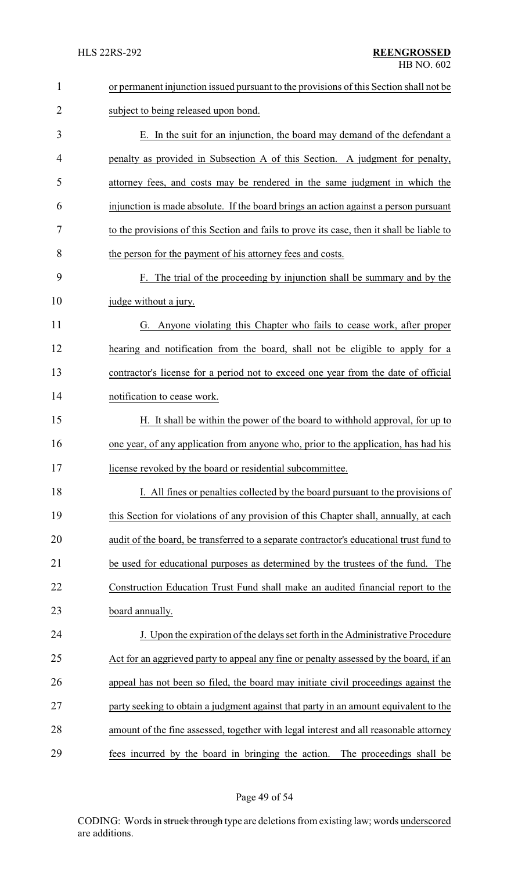| $\mathbf{1}$ | or permanent injunction issued pursuant to the provisions of this Section shall not be    |  |
|--------------|-------------------------------------------------------------------------------------------|--|
| 2            | subject to being released upon bond.                                                      |  |
| 3            | E. In the suit for an injunction, the board may demand of the defendant a                 |  |
| 4            | penalty as provided in Subsection A of this Section. A judgment for penalty,              |  |
| 5            | attorney fees, and costs may be rendered in the same judgment in which the                |  |
| 6            | injunction is made absolute. If the board brings an action against a person pursuant      |  |
| 7            | to the provisions of this Section and fails to prove its case, then it shall be liable to |  |
| 8            | the person for the payment of his attorney fees and costs.                                |  |
| 9            | F. The trial of the proceeding by injunction shall be summary and by the                  |  |
| 10           | judge without a jury.                                                                     |  |
| 11           | G. Anyone violating this Chapter who fails to cease work, after proper                    |  |
| 12           | hearing and notification from the board, shall not be eligible to apply for a             |  |
| 13           | contractor's license for a period not to exceed one year from the date of official        |  |
| 14           | notification to cease work.                                                               |  |
| 15           | H. It shall be within the power of the board to withhold approval, for up to              |  |
| 16           | one year, of any application from anyone who, prior to the application, has had his       |  |
| 17           | license revoked by the board or residential subcommittee.                                 |  |
| 18           | I. All fines or penalties collected by the board pursuant to the provisions of            |  |
| 19           | this Section for violations of any provision of this Chapter shall, annually, at each     |  |
| 20           | audit of the board, be transferred to a separate contractor's educational trust fund to   |  |
| 21           | be used for educational purposes as determined by the trustees of the fund. The           |  |
| 22           | Construction Education Trust Fund shall make an audited financial report to the           |  |
| 23           | board annually.                                                                           |  |
| 24           | J. Upon the expiration of the delays set forth in the Administrative Procedure            |  |
| 25           | Act for an aggrieved party to appeal any fine or penalty assessed by the board, if an     |  |
| 26           | appeal has not been so filed, the board may initiate civil proceedings against the        |  |
| 27           | party seeking to obtain a judgment against that party in an amount equivalent to the      |  |
| 28           | amount of the fine assessed, together with legal interest and all reasonable attorney     |  |
| 29           | fees incurred by the board in bringing the action.<br>The proceedings shall be            |  |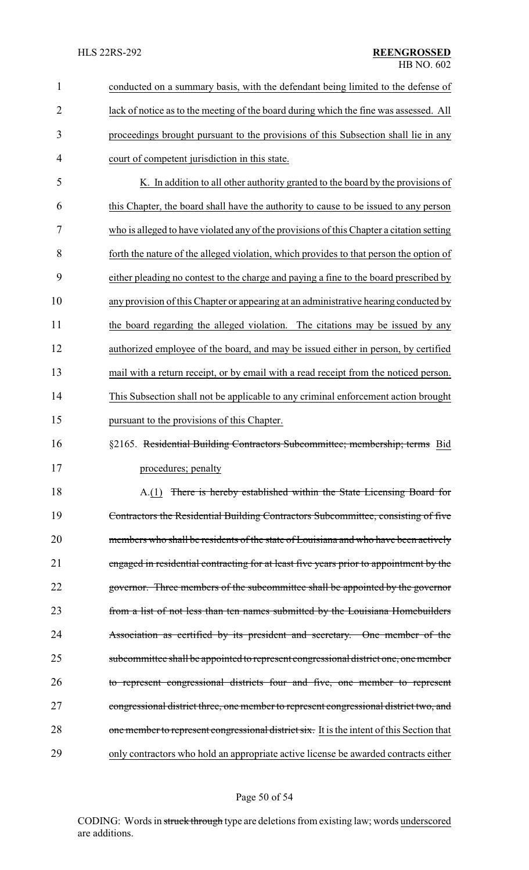| $\mathbf{1}$   | conducted on a summary basis, with the defendant being limited to the defense of          |  |
|----------------|-------------------------------------------------------------------------------------------|--|
|                |                                                                                           |  |
| $\overline{2}$ | lack of notice as to the meeting of the board during which the fine was assessed. All     |  |
| 3              | proceedings brought pursuant to the provisions of this Subsection shall lie in any        |  |
| 4              | court of competent jurisdiction in this state.                                            |  |
| 5              | K. In addition to all other authority granted to the board by the provisions of           |  |
| 6              | this Chapter, the board shall have the authority to cause to be issued to any person      |  |
| 7              | who is alleged to have violated any of the provisions of this Chapter a citation setting  |  |
| 8              | forth the nature of the alleged violation, which provides to that person the option of    |  |
| 9              | either pleading no contest to the charge and paying a fine to the board prescribed by     |  |
| 10             | any provision of this Chapter or appearing at an administrative hearing conducted by      |  |
| 11             | the board regarding the alleged violation. The citations may be issued by any             |  |
| 12             | authorized employee of the board, and may be issued either in person, by certified        |  |
| 13             | mail with a return receipt, or by email with a read receipt from the noticed person.      |  |
| 14             | This Subsection shall not be applicable to any criminal enforcement action brought        |  |
| 15             | pursuant to the provisions of this Chapter.                                               |  |
| 16             | §2165. Residential Building Contractors Subcommittee; membership; terms Bid               |  |
| 17             | procedures; penalty                                                                       |  |
| 18             | A.(1) There is hereby established within the State Licensing Board for                    |  |
| 19             | Contractors the Residential Building Contractors Subcommittee, consisting of five         |  |
| 20             | members who shall be residents of the state of Louisiana and who have been actively       |  |
| 21             | engaged in residential contracting for at least five years prior to appointment by the    |  |
| 22             | governor. Three members of the subcommittee shall be appointed by the governor            |  |
| 23             | from a list of not less than ten names submitted by the Louisiana Homebuilders            |  |
| 24             | Association as certified by its president and secretary. One member of the                |  |
| 25             | subcommittee shall be appointed to represent congressional district one, one member       |  |
| 26             | to represent congressional districts four and five, one member to represent               |  |
| 27             | congressional district three, one member to represent congressional district two, and     |  |
| 28             | one member to represent congressional district six. It is the intent of this Section that |  |
| 29             | only contractors who hold an appropriate active license be awarded contracts either       |  |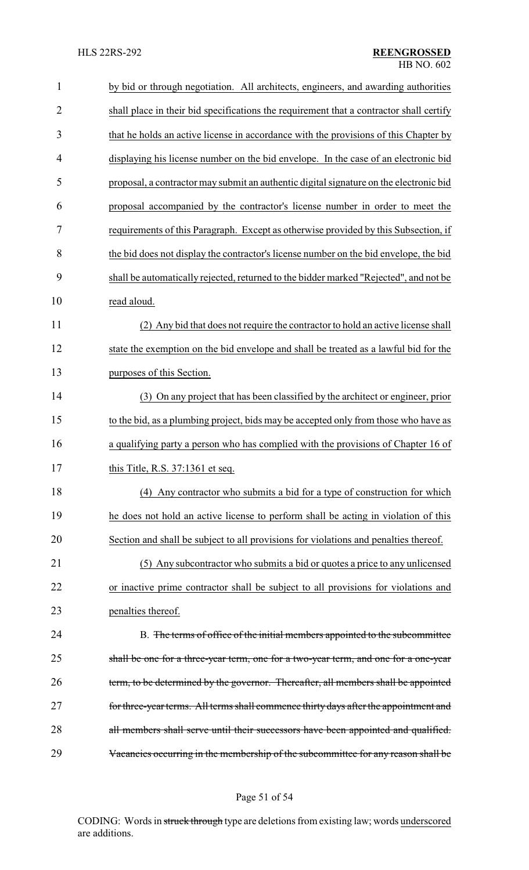| $\mathbf{1}$   | by bid or through negotiation. All architects, engineers, and awarding authorities      |
|----------------|-----------------------------------------------------------------------------------------|
| $\overline{2}$ | shall place in their bid specifications the requirement that a contractor shall certify |
| 3              | that he holds an active license in accordance with the provisions of this Chapter by    |
| 4              | displaying his license number on the bid envelope. In the case of an electronic bid     |
| 5              | proposal, a contractor may submit an authentic digital signature on the electronic bid  |
| 6              | proposal accompanied by the contractor's license number in order to meet the            |
| 7              | requirements of this Paragraph. Except as otherwise provided by this Subsection, if     |
| 8              | the bid does not display the contractor's license number on the bid envelope, the bid   |
| 9              | shall be automatically rejected, returned to the bidder marked "Rejected", and not be   |
| 10             | read aloud.                                                                             |
| 11             | (2) Any bid that does not require the contractor to hold an active license shall        |
| 12             | state the exemption on the bid envelope and shall be treated as a lawful bid for the    |
| 13             | purposes of this Section.                                                               |
| 14             | (3) On any project that has been classified by the architect or engineer, prior         |
| 15             | to the bid, as a plumbing project, bids may be accepted only from those who have as     |
| 16             | a qualifying party a person who has complied with the provisions of Chapter 16 of       |
| 17             | this Title, R.S. 37:1361 et seq.                                                        |
| 18             | (4) Any contractor who submits a bid for a type of construction for which               |
| 19             | he does not hold an active license to perform shall be acting in violation of this      |
| 20             | Section and shall be subject to all provisions for violations and penalties thereof.    |
| 21             | (5) Any subcontractor who submits a bid or quotes a price to any unlicensed             |
| 22             | or inactive prime contractor shall be subject to all provisions for violations and      |
| 23             | penalties thereof.                                                                      |
| 24             | B. The terms of office of the initial members appointed to the subcommittee             |
| 25             | shall be one for a three-year term, one for a two-year term, and one for a one-year     |
| 26             | term, to be determined by the governor. Thereafter, all members shall be appointed      |
| 27             | for three-year terms. All terms shall commence thirty days after the appointment and    |
| 28             | all members shall serve until their successors have been appointed and qualified.       |
| 29             | Vacancies occurring in the membership of the subcommittee for any reason shall be       |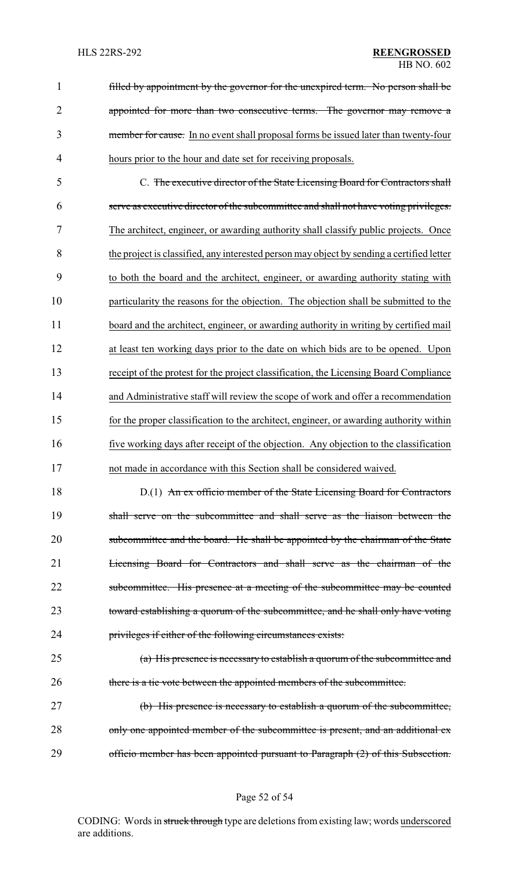filled by appointment by the governor for the unexpired term. No person shall be 2 appointed for more than two consecutive terms. The governor may remove a member for cause. In no event shall proposal forms be issued later than twenty-four hours prior to the hour and date set for receiving proposals.

 C. The executive director of the State Licensing Board for Contractors shall serve as executive director of the subcommittee and shall not have voting privileges. The architect, engineer, or awarding authority shall classify public projects. Once the project is classified, any interested person may object by sending a certified letter to both the board and the architect, engineer, or awarding authority stating with particularity the reasons for the objection. The objection shall be submitted to the 11 board and the architect, engineer, or awarding authority in writing by certified mail at least ten working days prior to the date on which bids are to be opened. Upon receipt of the protest for the project classification, the Licensing Board Compliance and Administrative staff will review the scope of work and offer a recommendation for the proper classification to the architect, engineer, or awarding authority within five working days after receipt of the objection. Any objection to the classification not made in accordance with this Section shall be considered waived.

18 D.(1) An ex officio member of the State Licensing Board for Contractors shall serve on the subcommittee and shall serve as the liaison between the 20 subcommittee and the board. He shall be appointed by the chairman of the State Licensing Board for Contractors and shall serve as the chairman of the 22 subcommittee. His presence at a meeting of the subcommittee may be counted toward establishing a quorum of the subcommittee, and he shall only have voting privileges if either of the following circumstances exists:

 (a) His presence is necessary to establish a quorum of the subcommittee and there is a tie vote between the appointed members of the subcommittee.

 (b) His presence is necessary to establish a quorum of the subcommittee, 28 only one appointed member of the subcommittee is present, and an additional ex-officio member has been appointed pursuant to Paragraph (2) of this Subsection.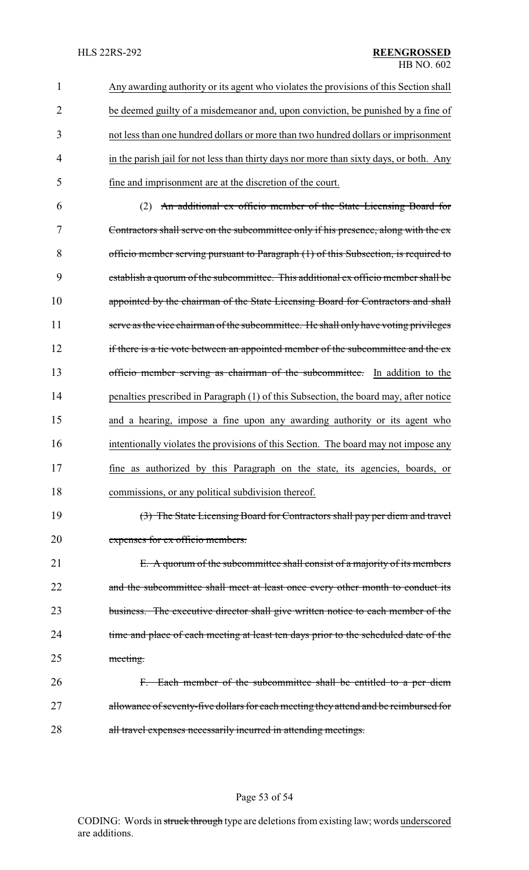Any awarding authority or its agent who violates the provisions of this Section shall be deemed guilty of a misdemeanor and, upon conviction, be punished by a fine of not less than one hundred dollars or more than two hundred dollars or imprisonment 4 in the parish jail for not less than thirty days nor more than sixty days, or both. Any fine and imprisonment are at the discretion of the court.

 (2) An additional ex officio member of the State Licensing Board for Contractors shall serve on the subcommittee only if his presence, along with the ex officio member serving pursuant to Paragraph (1) of this Subsection, is required to establish a quorum of the subcommittee. This additional ex officio member shall be 10 appointed by the chairman of the State Licensing Board for Contractors and shall 11 serve as the vice chairman of the subcommittee. He shall only have voting privileges 12 if there is a tie vote between an appointed member of the subcommittee and the ex-13 officio member serving as chairman of the subcommittee. In addition to the 14 penalties prescribed in Paragraph (1) of this Subsection, the board may, after notice and a hearing, impose a fine upon any awarding authority or its agent who intentionally violates the provisions of this Section. The board may not impose any fine as authorized by this Paragraph on the state, its agencies, boards, or commissions, or any political subdivision thereof.

19 (3) The State Licensing Board for Contractors shall pay per diem and travel 20 expenses for ex officio members.

21 E. A quorum of the subcommittee shall consist of a majority of its members 22 and the subcommittee shall meet at least once every other month to conduct its 23 business. The executive director shall give written notice to each member of the 24 time and place of each meeting at least ten days prior to the scheduled date of the 25 meeting.

26 F. Each member of the subcommittee shall be entitled to a per diem 27 allowance of seventy-five dollars for each meeting they attend and be reimbursed for 28 all travel expenses necessarily incurred in attending meetings.